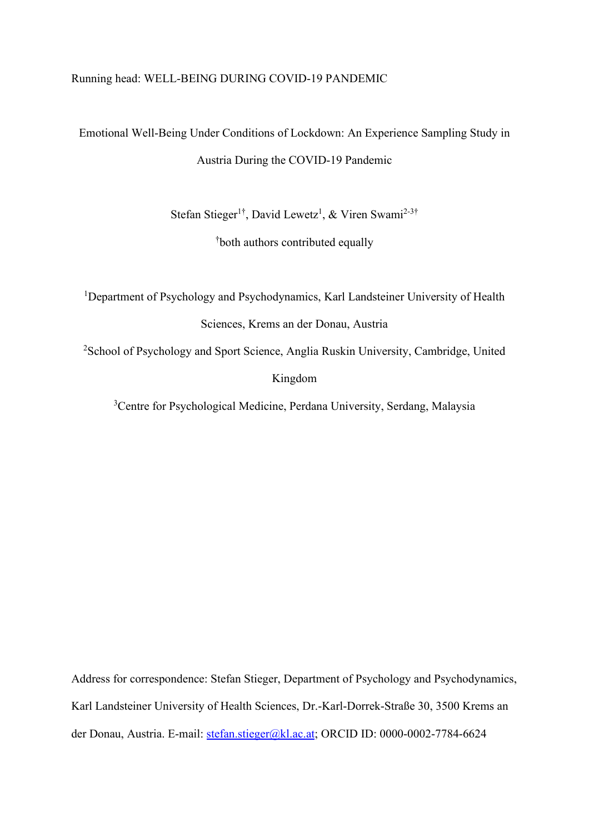# Running head: WELL-BEING DURING COVID-19 PANDEMIC

# Emotional Well-Being Under Conditions of Lockdown: An Experience Sampling Study in Austria During the COVID-19 Pandemic

Stefan Stieger<sup>1†</sup>, David Lewetz<sup>1</sup>, & Viren Swami<sup>2-3†</sup>

† both authors contributed equally

<sup>1</sup>Department of Psychology and Psychodynamics, Karl Landsteiner University of Health Sciences, Krems an der Donau, Austria

<sup>2</sup>School of Psychology and Sport Science, Anglia Ruskin University, Cambridge, United Kingdom

<sup>3</sup>Centre for Psychological Medicine, Perdana University, Serdang, Malaysia

Address for correspondence: Stefan Stieger, Department of Psychology and Psychodynamics, Karl Landsteiner University of Health Sciences, Dr.-Karl-Dorrek-Straße 30, 3500 Krems an der Donau, Austria. E-mail: [stefan.stieger@kl.ac.at;](mailto:stefan.stieger@kl.ac.at) ORCID ID: 0000-0002-7784-6624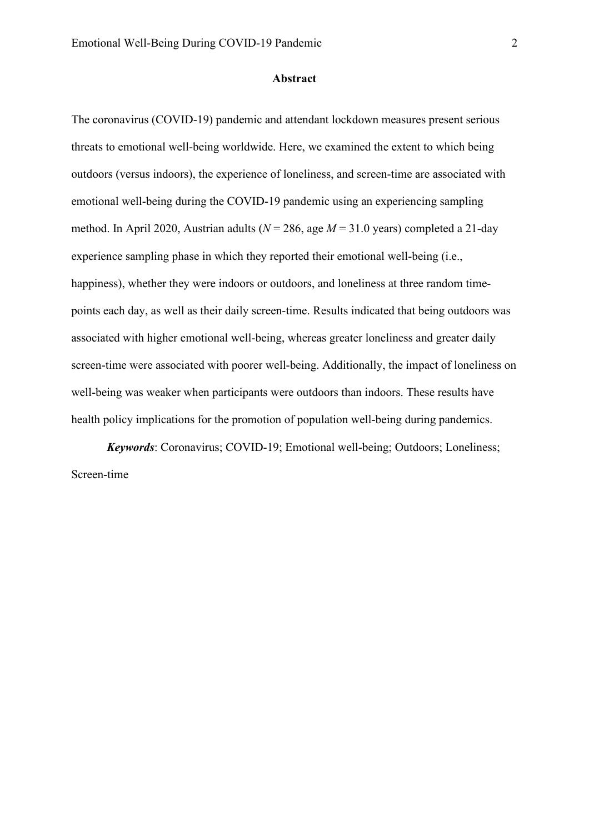#### **Abstract**

The coronavirus (COVID-19) pandemic and attendant lockdown measures present serious threats to emotional well-being worldwide. Here, we examined the extent to which being outdoors (versus indoors), the experience of loneliness, and screen-time are associated with emotional well-being during the COVID-19 pandemic using an experiencing sampling method. In April 2020, Austrian adults (*N* = 286, age *M* = 31.0 years) completed a 21-day experience sampling phase in which they reported their emotional well-being (i.e., happiness), whether they were indoors or outdoors, and loneliness at three random timepoints each day, as well as their daily screen-time. Results indicated that being outdoors was associated with higher emotional well-being, whereas greater loneliness and greater daily screen-time were associated with poorer well-being. Additionally, the impact of loneliness on well-being was weaker when participants were outdoors than indoors. These results have health policy implications for the promotion of population well-being during pandemics.

*Keywords*: Coronavirus; COVID-19; Emotional well-being; Outdoors; Loneliness; Screen-time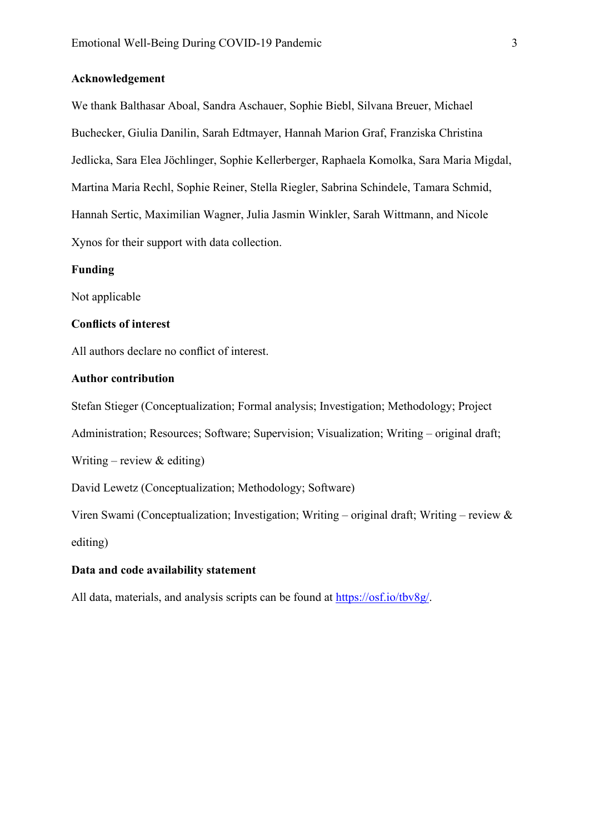#### **Acknowledgement**

We thank Balthasar Aboal, Sandra Aschauer, Sophie Biebl, Silvana Breuer, Michael Buchecker, Giulia Danilin, Sarah Edtmayer, Hannah Marion Graf, Franziska Christina Jedlicka, Sara Elea Jöchlinger, Sophie Kellerberger, Raphaela Komolka, Sara Maria Migdal, Martina Maria Rechl, Sophie Reiner, Stella Riegler, Sabrina Schindele, Tamara Schmid, Hannah Sertic, Maximilian Wagner, Julia Jasmin Winkler, Sarah Wittmann, and Nicole Xynos for their support with data collection.

#### **Funding**

Not applicable

## **Conflicts of interest**

All authors declare no conflict of interest.

# **Author contribution**

Stefan Stieger (Conceptualization; Formal analysis; Investigation; Methodology; Project

Administration; Resources; Software; Supervision; Visualization; Writing – original draft;

Writing – review  $&$  editing)

David Lewetz (Conceptualization; Methodology; Software)

Viren Swami (Conceptualization; Investigation; Writing – original draft; Writing – review & editing)

# **Data and code availability statement**

All data, materials, and analysis scripts can be found at [https://osf.io/tbv8g/.](https://osf.io/tbv8g/)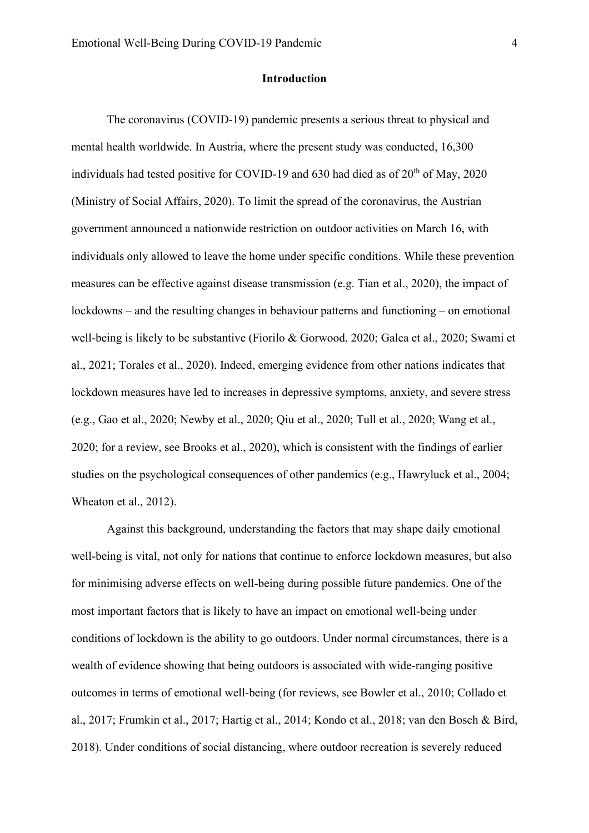#### **Introduction**

The coronavirus (COVID-19) pandemic presents a serious threat to physical and mental health worldwide. In Austria, where the present study was conducted, 16,300 individuals had tested positive for COVID-19 and 630 had died as of  $20<sup>th</sup>$  of May, 2020 (Ministry of Social Affairs, 2020). To limit the spread of the coronavirus, the Austrian government announced a nationwide restriction on outdoor activities on March 16, with individuals only allowed to leave the home under specific conditions. While these prevention measures can be effective against disease transmission (e.g. Tian et al., 2020), the impact of lockdowns – and the resulting changes in behaviour patterns and functioning – on emotional well-being is likely to be substantive (Fiorilo & Gorwood, 2020; Galea et al., 2020; Swami et al., 2021; Torales et al., 2020). Indeed, emerging evidence from other nations indicates that lockdown measures have led to increases in depressive symptoms, anxiety, and severe stress (e.g., Gao et al., 2020; Newby et al., 2020; Qiu et al., 2020; Tull et al., 2020; Wang et al., 2020; for a review, see Brooks et al., 2020), which is consistent with the findings of earlier studies on the psychological consequences of other pandemics (e.g., Hawryluck et al., 2004; Wheaton et al., 2012).

Against this background, understanding the factors that may shape daily emotional well-being is vital, not only for nations that continue to enforce lockdown measures, but also for minimising adverse effects on well-being during possible future pandemics. One of the most important factors that is likely to have an impact on emotional well-being under conditions of lockdown is the ability to go outdoors. Under normal circumstances, there is a wealth of evidence showing that being outdoors is associated with wide-ranging positive outcomes in terms of emotional well-being (for reviews, see Bowler et al., 2010; Collado et al., 2017; Frumkin et al., 2017; Hartig et al., 2014; Kondo et al., 2018; van den Bosch & Bird, 2018). Under conditions of social distancing, where outdoor recreation is severely reduced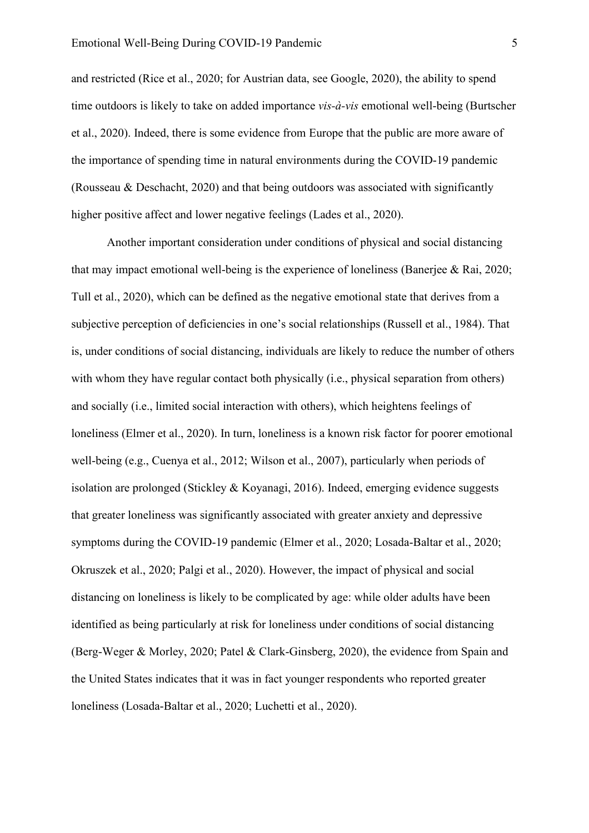and restricted (Rice et al., 2020; for Austrian data, see Google, 2020), the ability to spend time outdoors is likely to take on added importance *vis-à-vis* emotional well-being (Burtscher et al., 2020). Indeed, there is some evidence from Europe that the public are more aware of the importance of spending time in natural environments during the COVID-19 pandemic (Rousseau & Deschacht, 2020) and that being outdoors was associated with significantly higher positive affect and lower negative feelings (Lades et al., 2020).

Another important consideration under conditions of physical and social distancing that may impact emotional well-being is the experience of loneliness (Banerjee & Rai, 2020; Tull et al., 2020), which can be defined as the negative emotional state that derives from a subjective perception of deficiencies in one's social relationships (Russell et al., 1984). That is, under conditions of social distancing, individuals are likely to reduce the number of others with whom they have regular contact both physically (i.e., physical separation from others) and socially (i.e., limited social interaction with others), which heightens feelings of loneliness (Elmer et al., 2020). In turn, loneliness is a known risk factor for poorer emotional well-being (e.g., Cuenya et al., 2012; Wilson et al., 2007), particularly when periods of isolation are prolonged (Stickley & Koyanagi, 2016). Indeed, emerging evidence suggests that greater loneliness was significantly associated with greater anxiety and depressive symptoms during the COVID-19 pandemic (Elmer et al., 2020; Losada-Baltar et al., 2020; Okruszek et al., 2020; Palgi et al., 2020). However, the impact of physical and social distancing on loneliness is likely to be complicated by age: while older adults have been identified as being particularly at risk for loneliness under conditions of social distancing (Berg-Weger & Morley, 2020; Patel & Clark-Ginsberg, 2020), the evidence from Spain and the United States indicates that it was in fact younger respondents who reported greater loneliness (Losada-Baltar et al., 2020; Luchetti et al., 2020).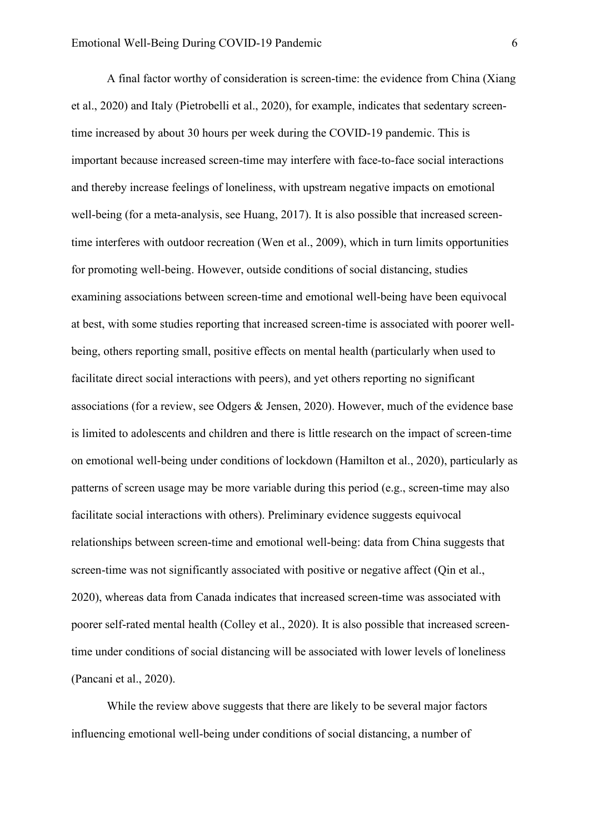A final factor worthy of consideration is screen-time: the evidence from China (Xiang et al., 2020) and Italy (Pietrobelli et al., 2020), for example, indicates that sedentary screentime increased by about 30 hours per week during the COVID-19 pandemic. This is important because increased screen-time may interfere with face-to-face social interactions and thereby increase feelings of loneliness, with upstream negative impacts on emotional well-being (for a meta-analysis, see Huang, 2017). It is also possible that increased screentime interferes with outdoor recreation (Wen et al., 2009), which in turn limits opportunities for promoting well-being. However, outside conditions of social distancing, studies examining associations between screen-time and emotional well-being have been equivocal at best, with some studies reporting that increased screen-time is associated with poorer wellbeing, others reporting small, positive effects on mental health (particularly when used to facilitate direct social interactions with peers), and yet others reporting no significant associations (for a review, see Odgers & Jensen, 2020). However, much of the evidence base is limited to adolescents and children and there is little research on the impact of screen-time on emotional well-being under conditions of lockdown (Hamilton et al., 2020), particularly as patterns of screen usage may be more variable during this period (e.g., screen-time may also facilitate social interactions with others). Preliminary evidence suggests equivocal relationships between screen-time and emotional well-being: data from China suggests that screen-time was not significantly associated with positive or negative affect (Qin et al., 2020), whereas data from Canada indicates that increased screen-time was associated with poorer self-rated mental health (Colley et al., 2020). It is also possible that increased screentime under conditions of social distancing will be associated with lower levels of loneliness (Pancani et al., 2020).

While the review above suggests that there are likely to be several major factors influencing emotional well-being under conditions of social distancing, a number of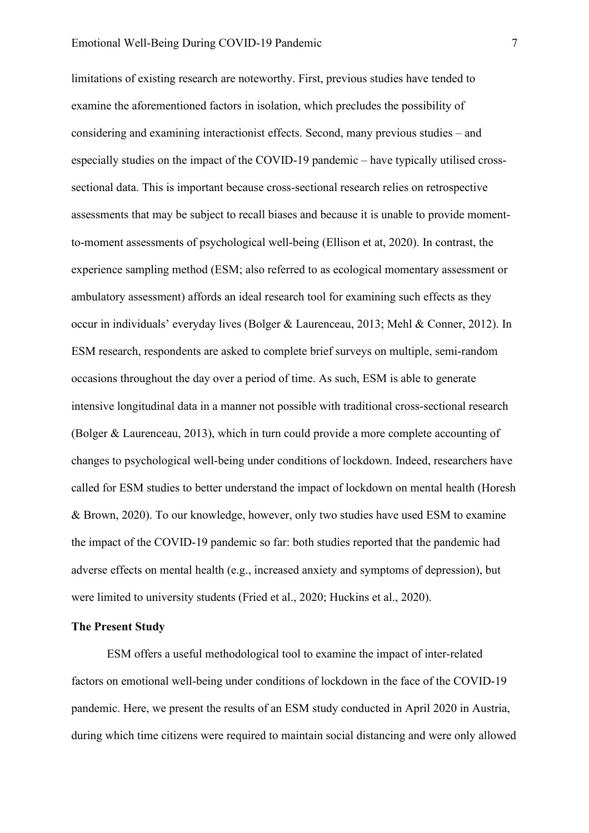limitations of existing research are noteworthy. First, previous studies have tended to examine the aforementioned factors in isolation, which precludes the possibility of considering and examining interactionist effects. Second, many previous studies – and especially studies on the impact of the COVID-19 pandemic – have typically utilised crosssectional data. This is important because cross-sectional research relies on retrospective assessments that may be subject to recall biases and because it is unable to provide momentto-moment assessments of psychological well-being (Ellison et at, 2020). In contrast, the experience sampling method (ESM; also referred to as ecological momentary assessment or ambulatory assessment) affords an ideal research tool for examining such effects as they occur in individuals' everyday lives (Bolger & Laurenceau, 2013; Mehl & Conner, 2012). In ESM research, respondents are asked to complete brief surveys on multiple, semi-random occasions throughout the day over a period of time. As such, ESM is able to generate intensive longitudinal data in a manner not possible with traditional cross-sectional research (Bolger & Laurenceau, 2013), which in turn could provide a more complete accounting of changes to psychological well-being under conditions of lockdown. Indeed, researchers have called for ESM studies to better understand the impact of lockdown on mental health (Horesh & Brown, 2020). To our knowledge, however, only two studies have used ESM to examine the impact of the COVID-19 pandemic so far: both studies reported that the pandemic had adverse effects on mental health (e.g., increased anxiety and symptoms of depression), but were limited to university students (Fried et al., 2020; Huckins et al., 2020).

#### **The Present Study**

ESM offers a useful methodological tool to examine the impact of inter-related factors on emotional well-being under conditions of lockdown in the face of the COVID-19 pandemic. Here, we present the results of an ESM study conducted in April 2020 in Austria, during which time citizens were required to maintain social distancing and were only allowed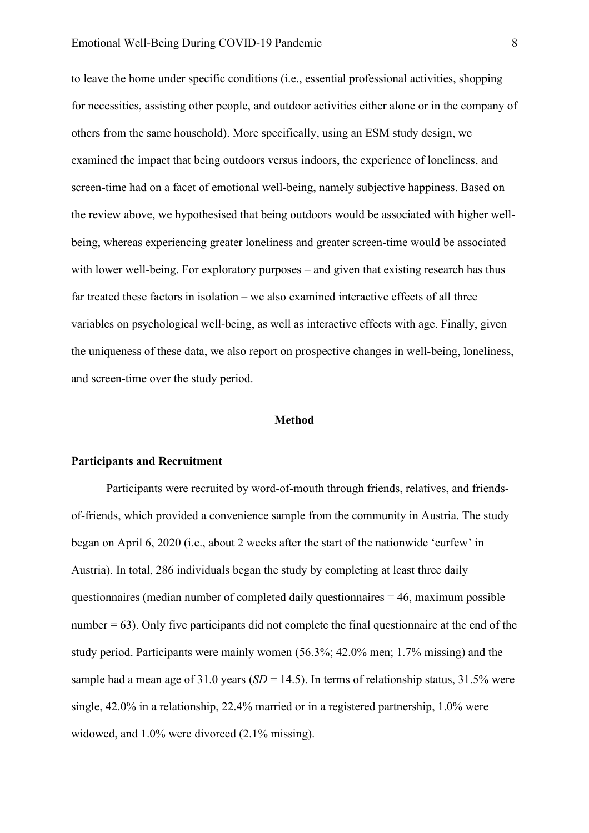to leave the home under specific conditions (i.e., essential professional activities, shopping for necessities, assisting other people, and outdoor activities either alone or in the company of others from the same household). More specifically, using an ESM study design, we examined the impact that being outdoors versus indoors, the experience of loneliness, and screen-time had on a facet of emotional well-being, namely subjective happiness. Based on the review above, we hypothesised that being outdoors would be associated with higher wellbeing, whereas experiencing greater loneliness and greater screen-time would be associated with lower well-being. For exploratory purposes – and given that existing research has thus far treated these factors in isolation – we also examined interactive effects of all three variables on psychological well-being, as well as interactive effects with age. Finally, given the uniqueness of these data, we also report on prospective changes in well-being, loneliness, and screen-time over the study period.

#### **Method**

# **Participants and Recruitment**

Participants were recruited by word-of-mouth through friends, relatives, and friendsof-friends, which provided a convenience sample from the community in Austria. The study began on April 6, 2020 (i.e., about 2 weeks after the start of the nationwide 'curfew' in Austria). In total, 286 individuals began the study by completing at least three daily questionnaires (median number of completed daily questionnaires  $= 46$ , maximum possible number  $= 63$ ). Only five participants did not complete the final questionnaire at the end of the study period. Participants were mainly women (56.3%; 42.0% men; 1.7% missing) and the sample had a mean age of 31.0 years (*SD* = 14.5). In terms of relationship status, 31.5% were single, 42.0% in a relationship, 22.4% married or in a registered partnership, 1.0% were widowed, and 1.0% were divorced (2.1% missing).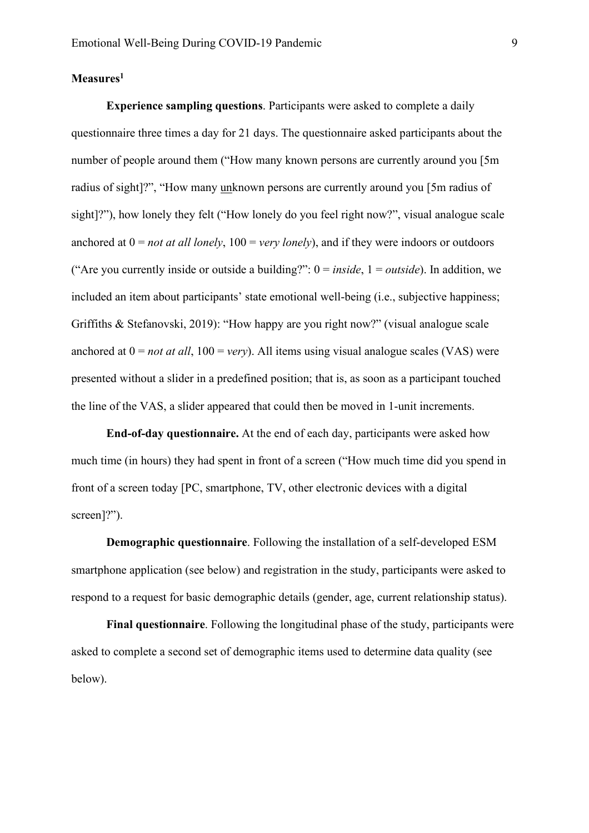### **Measures1**

**Experience sampling questions**. Participants were asked to complete a daily questionnaire three times a day for 21 days. The questionnaire asked participants about the number of people around them ("How many known persons are currently around you [5m radius of sight]?", "How many unknown persons are currently around you [5m radius of sight]?"), how lonely they felt ("How lonely do you feel right now?", visual analogue scale anchored at  $0 = not$  *at all lonely*,  $100 = \text{very}$  *lonely*), and if they were indoors or outdoors ("Are you currently inside or outside a building?": 0 = *inside*, 1 = *outside*). In addition, we included an item about participants' state emotional well-being (i.e., subjective happiness; Griffiths & Stefanovski, 2019): "How happy are you right now?" (visual analogue scale anchored at  $0 = not$  *at all*,  $100 = very$ . All items using visual analogue scales (VAS) were presented without a slider in a predefined position; that is, as soon as a participant touched the line of the VAS, a slider appeared that could then be moved in 1-unit increments.

**End-of-day questionnaire.** At the end of each day, participants were asked how much time (in hours) they had spent in front of a screen ("How much time did you spend in front of a screen today [PC, smartphone, TV, other electronic devices with a digital screen]?").

**Demographic questionnaire**. Following the installation of a self-developed ESM smartphone application (see below) and registration in the study, participants were asked to respond to a request for basic demographic details (gender, age, current relationship status).

**Final questionnaire**. Following the longitudinal phase of the study, participants were asked to complete a second set of demographic items used to determine data quality (see below).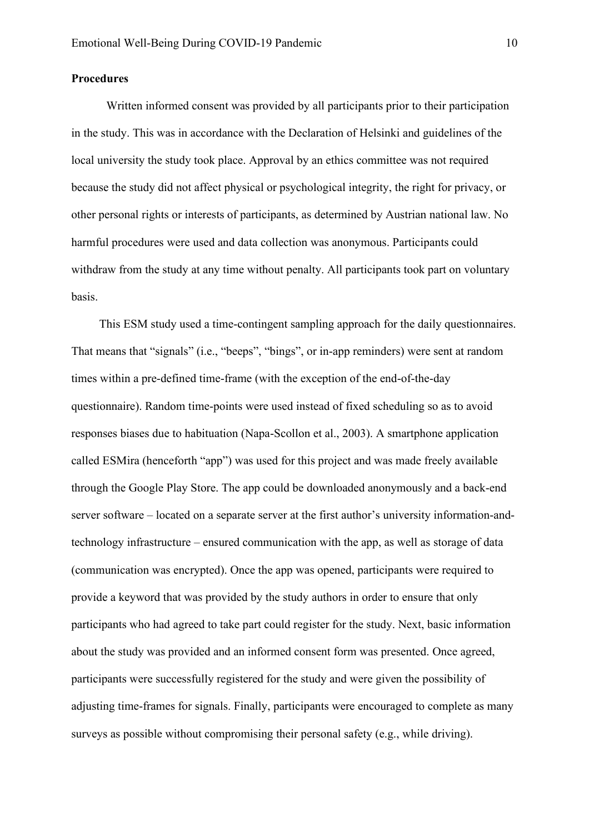#### **Procedures**

Written informed consent was provided by all participants prior to their participation in the study. This was in accordance with the Declaration of Helsinki and guidelines of the local university the study took place. Approval by an ethics committee was not required because the study did not affect physical or psychological integrity, the right for privacy, or other personal rights or interests of participants, as determined by Austrian national law. No harmful procedures were used and data collection was anonymous. Participants could withdraw from the study at any time without penalty. All participants took part on voluntary basis.

This ESM study used a time-contingent sampling approach for the daily questionnaires. That means that "signals" (i.e., "beeps", "bings", or in-app reminders) were sent at random times within a pre-defined time-frame (with the exception of the end-of-the-day questionnaire). Random time-points were used instead of fixed scheduling so as to avoid responses biases due to habituation (Napa-Scollon et al., 2003). A smartphone application called ESMira (henceforth "app") was used for this project and was made freely available through the Google Play Store. The app could be downloaded anonymously and a back-end server software – located on a separate server at the first author's university information-andtechnology infrastructure – ensured communication with the app, as well as storage of data (communication was encrypted). Once the app was opened, participants were required to provide a keyword that was provided by the study authors in order to ensure that only participants who had agreed to take part could register for the study. Next, basic information about the study was provided and an informed consent form was presented. Once agreed, participants were successfully registered for the study and were given the possibility of adjusting time-frames for signals. Finally, participants were encouraged to complete as many surveys as possible without compromising their personal safety (e.g., while driving).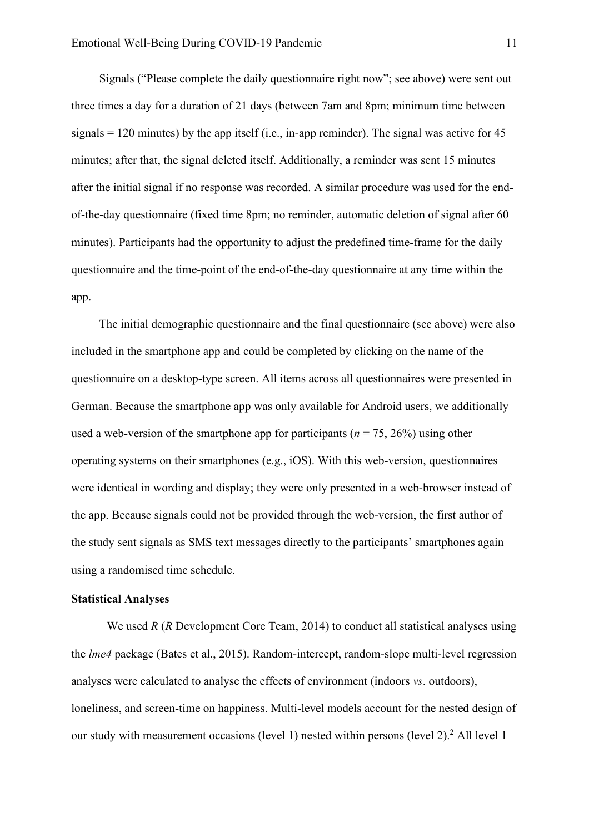Signals ("Please complete the daily questionnaire right now"; see above) were sent out three times a day for a duration of 21 days (between 7am and 8pm; minimum time between signals  $= 120$  minutes) by the app itself (i.e., in-app reminder). The signal was active for 45 minutes; after that, the signal deleted itself. Additionally, a reminder was sent 15 minutes after the initial signal if no response was recorded. A similar procedure was used for the endof-the-day questionnaire (fixed time 8pm; no reminder, automatic deletion of signal after 60 minutes). Participants had the opportunity to adjust the predefined time-frame for the daily questionnaire and the time-point of the end-of-the-day questionnaire at any time within the app.

The initial demographic questionnaire and the final questionnaire (see above) were also included in the smartphone app and could be completed by clicking on the name of the questionnaire on a desktop-type screen. All items across all questionnaires were presented in German. Because the smartphone app was only available for Android users, we additionally used a web-version of the smartphone app for participants ( $n = 75, 26\%$ ) using other operating systems on their smartphones (e.g., iOS). With this web-version, questionnaires were identical in wording and display; they were only presented in a web-browser instead of the app. Because signals could not be provided through the web-version, the first author of the study sent signals as SMS text messages directly to the participants' smartphones again using a randomised time schedule.

#### **Statistical Analyses**

We used *R* (*R* Development Core Team, 2014) to conduct all statistical analyses using the *lme4* package (Bates et al., 2015). Random-intercept, random-slope multi-level regression analyses were calculated to analyse the effects of environment (indoors *vs*. outdoors), loneliness, and screen-time on happiness. Multi-level models account for the nested design of our study with measurement occasions (level 1) nested within persons (level 2).<sup>2</sup> All level 1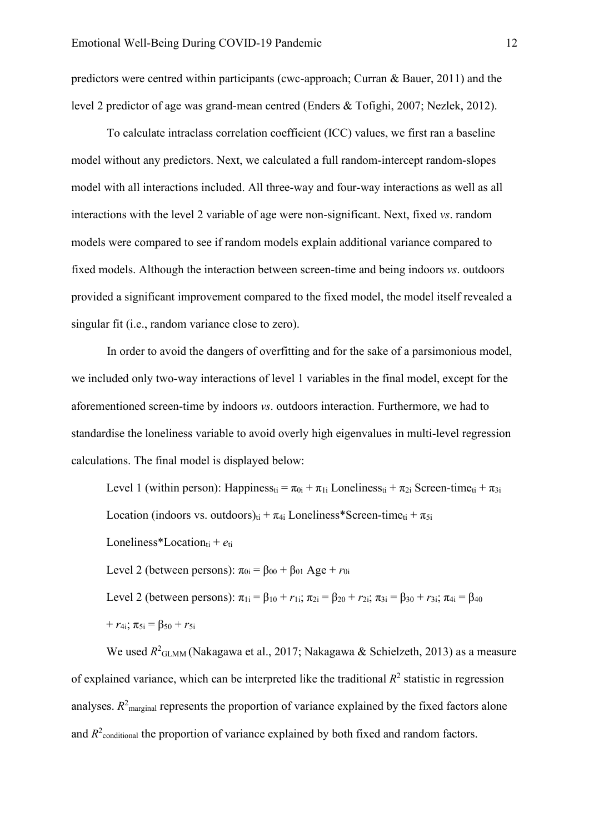predictors were centred within participants (cwc-approach; Curran & Bauer, 2011) and the level 2 predictor of age was grand-mean centred (Enders & Tofighi, 2007; Nezlek, 2012).

To calculate intraclass correlation coefficient (ICC) values, we first ran a baseline model without any predictors. Next, we calculated a full random-intercept random-slopes model with all interactions included. All three-way and four-way interactions as well as all interactions with the level 2 variable of age were non-significant. Next, fixed *vs*. random models were compared to see if random models explain additional variance compared to fixed models. Although the interaction between screen-time and being indoors *vs*. outdoors provided a significant improvement compared to the fixed model, the model itself revealed a singular fit (i.e., random variance close to zero).

In order to avoid the dangers of overfitting and for the sake of a parsimonious model, we included only two-way interactions of level 1 variables in the final model, except for the aforementioned screen-time by indoors *vs*. outdoors interaction. Furthermore, we had to standardise the loneliness variable to avoid overly high eigenvalues in multi-level regression calculations. The final model is displayed below:

Level 1 (within person): Happiness<sub>ti</sub> =  $\pi_{0i} + \pi_{1i}$  Loneliness<sub>ti</sub> +  $\pi_{2i}$  Screen-time<sub>ti</sub> +  $\pi_{3i}$ Location (indoors vs. outdoors)<sub>ti</sub> +  $\pi_{4i}$  Loneliness\*Screen-time<sub>ti</sub> +  $\pi_{5i}$ Loneliness\*Location<sub>ti</sub> +  $e_{ti}$ Level 2 (between persons):  $\pi_{0i} = \beta_{00} + \beta_{01}$  Age +  $r_{0i}$ Level 2 (between persons):  $\pi_{1i} = \beta_{10} + r_{1i}$ ;  $\pi_{2i} = \beta_{20} + r_{2i}$ ;  $\pi_{3i} = \beta_{30} + r_{3i}$ ;  $\pi_{4i} = \beta_{40}$  $+r_{4i}$ ;  $\pi_{5i} = \beta_{50} + r_{5i}$ 

We used  $R^2$ <sub>GLMM</sub> (Nakagawa et al., 2017; Nakagawa & Schielzeth, 2013) as a measure of explained variance, which can be interpreted like the traditional  $R<sup>2</sup>$  statistic in regression analyses.  $R^2$ <sub>marginal</sub> represents the proportion of variance explained by the fixed factors alone and  $R^2$ <sub>conditional</sub> the proportion of variance explained by both fixed and random factors.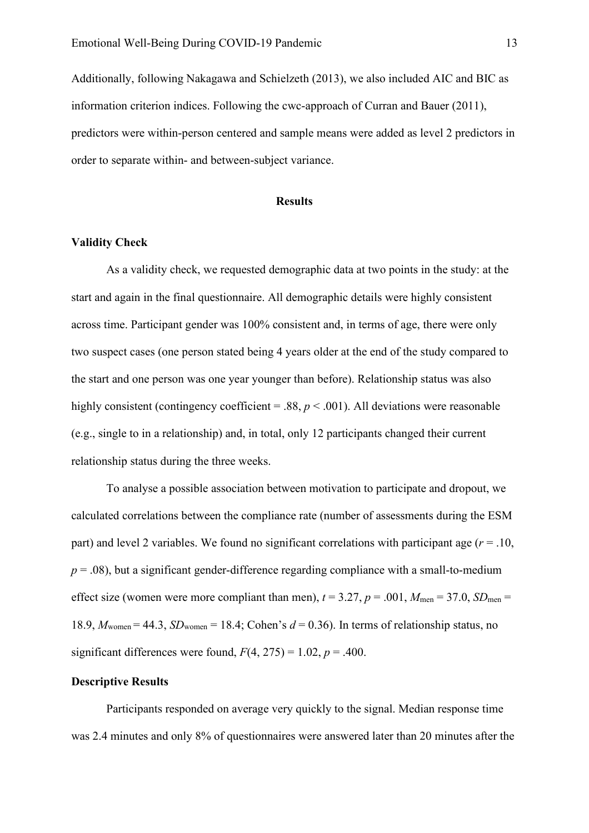Additionally, following Nakagawa and Schielzeth (2013), we also included AIC and BIC as information criterion indices. Following the cwc-approach of Curran and Bauer (2011), predictors were within-person centered and sample means were added as level 2 predictors in order to separate within- and between-subject variance.

#### **Results**

#### **Validity Check**

As a validity check, we requested demographic data at two points in the study: at the start and again in the final questionnaire. All demographic details were highly consistent across time. Participant gender was 100% consistent and, in terms of age, there were only two suspect cases (one person stated being 4 years older at the end of the study compared to the start and one person was one year younger than before). Relationship status was also highly consistent (contingency coefficient = .88,  $p < .001$ ). All deviations were reasonable (e.g., single to in a relationship) and, in total, only 12 participants changed their current relationship status during the three weeks.

To analyse a possible association between motivation to participate and dropout, we calculated correlations between the compliance rate (number of assessments during the ESM part) and level 2 variables. We found no significant correlations with participant age  $(r = .10, )$  $p = .08$ ), but a significant gender-difference regarding compliance with a small-to-medium effect size (women were more compliant than men),  $t = 3.27$ ,  $p = .001$ ,  $M_{\text{men}} = 37.0$ ,  $SD_{\text{men}} =$ 18.9,  $M_{\text{women}} = 44.3$ ,  $SD_{\text{women}} = 18.4$ ; Cohen's  $d = 0.36$ ). In terms of relationship status, no significant differences were found,  $F(4, 275) = 1.02$ ,  $p = .400$ .

# **Descriptive Results**

Participants responded on average very quickly to the signal. Median response time was 2.4 minutes and only 8% of questionnaires were answered later than 20 minutes after the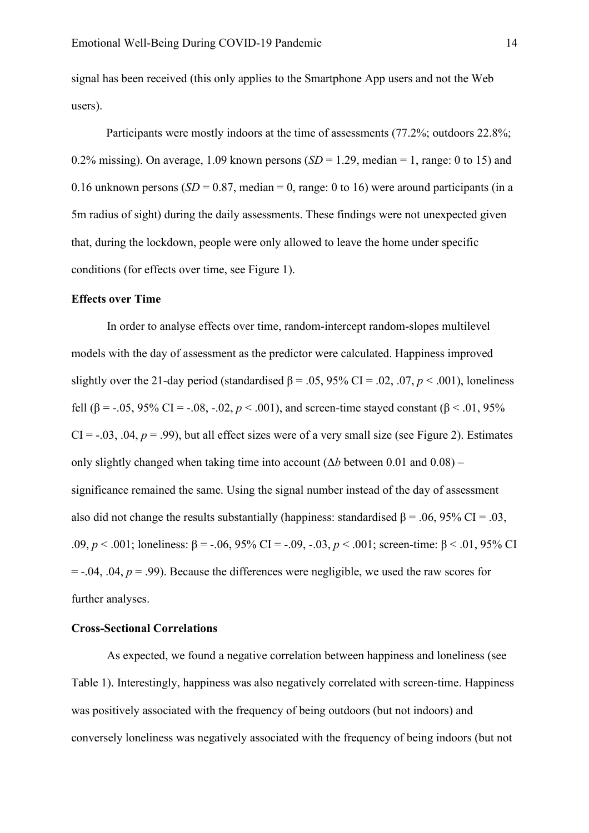signal has been received (this only applies to the Smartphone App users and not the Web users).

Participants were mostly indoors at the time of assessments (77.2%; outdoors 22.8%; 0.2% missing). On average, 1.09 known persons  $(SD = 1.29$ , median = 1, range: 0 to 15) and 0.16 unknown persons  $(SD = 0.87, \text{ median} = 0, \text{range} : 0 \text{ to } 16)$  were around participants (in a 5m radius of sight) during the daily assessments. These findings were not unexpected given that, during the lockdown, people were only allowed to leave the home under specific conditions (for effects over time, see Figure 1).

## **Effects over Time**

In order to analyse effects over time, random-intercept random-slopes multilevel models with the day of assessment as the predictor were calculated. Happiness improved slightly over the 21-day period (standardised  $\beta$  = .05, 95% CI = .02, .07, *p* < .001), loneliness fell (β = -.05, 95% CI = -.08, -.02,  $p < .001$ ), and screen-time stayed constant (β < .01, 95%)  $CI = -0.03$ ,  $.04$ ,  $p = .99$ ), but all effect sizes were of a very small size (see Figure 2). Estimates only slightly changed when taking time into account  $(\Delta b)$  between 0.01 and 0.08) – significance remained the same. Using the signal number instead of the day of assessment also did not change the results substantially (happiness: standardised  $\beta = .06, 95\%$  CI = .03, .09, *p* < .001; loneliness: β = -.06, 95% CI = -.09, -.03, *p* < .001; screen-time: β < .01, 95% CI  $=$  -.04, .04,  $p = .99$ ). Because the differences were negligible, we used the raw scores for further analyses.

#### **Cross-Sectional Correlations**

As expected, we found a negative correlation between happiness and loneliness (see Table 1). Interestingly, happiness was also negatively correlated with screen-time. Happiness was positively associated with the frequency of being outdoors (but not indoors) and conversely loneliness was negatively associated with the frequency of being indoors (but not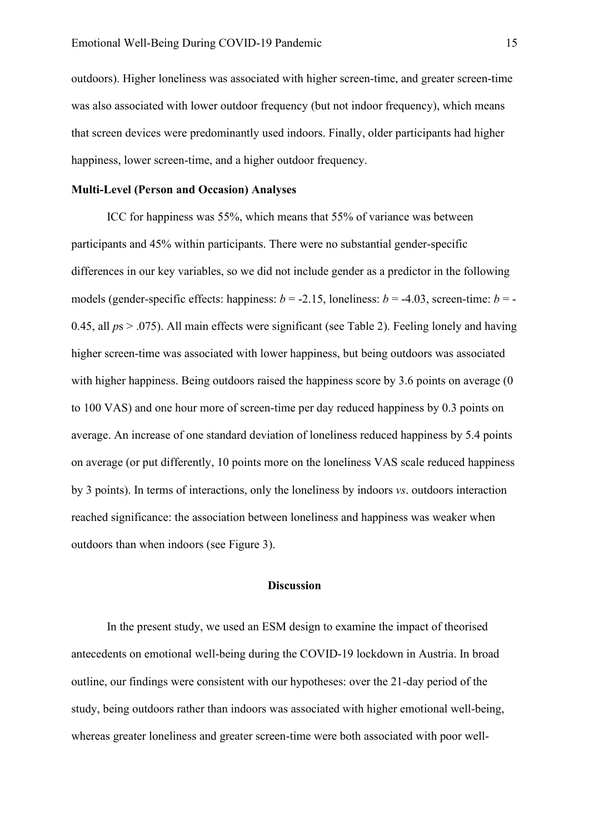outdoors). Higher loneliness was associated with higher screen-time, and greater screen-time was also associated with lower outdoor frequency (but not indoor frequency), which means that screen devices were predominantly used indoors. Finally, older participants had higher happiness, lower screen-time, and a higher outdoor frequency.

# **Multi-Level (Person and Occasion) Analyses**

ICC for happiness was 55%, which means that 55% of variance was between participants and 45% within participants. There were no substantial gender-specific differences in our key variables, so we did not include gender as a predictor in the following models (gender-specific effects: happiness:  $b = -2.15$ , loneliness:  $b = -4.03$ , screen-time:  $b = -$ 0.45, all *p*s > .075). All main effects were significant (see Table 2). Feeling lonely and having higher screen-time was associated with lower happiness, but being outdoors was associated with higher happiness. Being outdoors raised the happiness score by 3.6 points on average (0 to 100 VAS) and one hour more of screen-time per day reduced happiness by 0.3 points on average. An increase of one standard deviation of loneliness reduced happiness by 5.4 points on average (or put differently, 10 points more on the loneliness VAS scale reduced happiness by 3 points). In terms of interactions, only the loneliness by indoors *vs*. outdoors interaction reached significance: the association between loneliness and happiness was weaker when outdoors than when indoors (see Figure 3).

#### **Discussion**

In the present study, we used an ESM design to examine the impact of theorised antecedents on emotional well-being during the COVID-19 lockdown in Austria. In broad outline, our findings were consistent with our hypotheses: over the 21-day period of the study, being outdoors rather than indoors was associated with higher emotional well-being, whereas greater loneliness and greater screen-time were both associated with poor well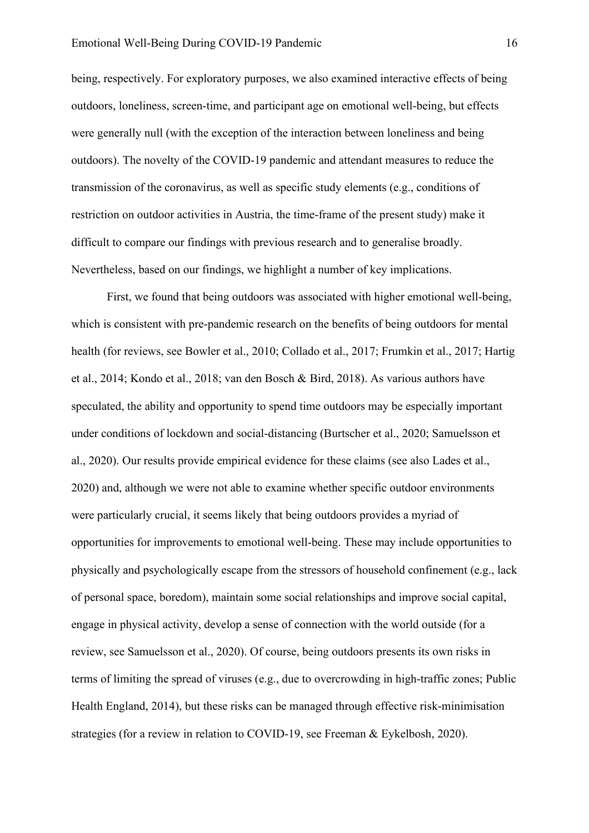being, respectively. For exploratory purposes, we also examined interactive effects of being outdoors, loneliness, screen-time, and participant age on emotional well-being, but effects were generally null (with the exception of the interaction between loneliness and being outdoors). The novelty of the COVID-19 pandemic and attendant measures to reduce the transmission of the coronavirus, as well as specific study elements (e.g., conditions of restriction on outdoor activities in Austria, the time-frame of the present study) make it difficult to compare our findings with previous research and to generalise broadly. Nevertheless, based on our findings, we highlight a number of key implications.

First, we found that being outdoors was associated with higher emotional well-being, which is consistent with pre-pandemic research on the benefits of being outdoors for mental health (for reviews, see Bowler et al., 2010; Collado et al., 2017; Frumkin et al., 2017; Hartig et al., 2014; Kondo et al., 2018; van den Bosch & Bird, 2018). As various authors have speculated, the ability and opportunity to spend time outdoors may be especially important under conditions of lockdown and social-distancing (Burtscher et al., 2020; Samuelsson et al., 2020). Our results provide empirical evidence for these claims (see also Lades et al., 2020) and, although we were not able to examine whether specific outdoor environments were particularly crucial, it seems likely that being outdoors provides a myriad of opportunities for improvements to emotional well-being. These may include opportunities to physically and psychologically escape from the stressors of household confinement (e.g., lack of personal space, boredom), maintain some social relationships and improve social capital, engage in physical activity, develop a sense of connection with the world outside (for a review, see Samuelsson et al., 2020). Of course, being outdoors presents its own risks in terms of limiting the spread of viruses (e.g., due to overcrowding in high-traffic zones; Public Health England, 2014), but these risks can be managed through effective risk-minimisation strategies (for a review in relation to COVID-19, see Freeman & Eykelbosh, 2020).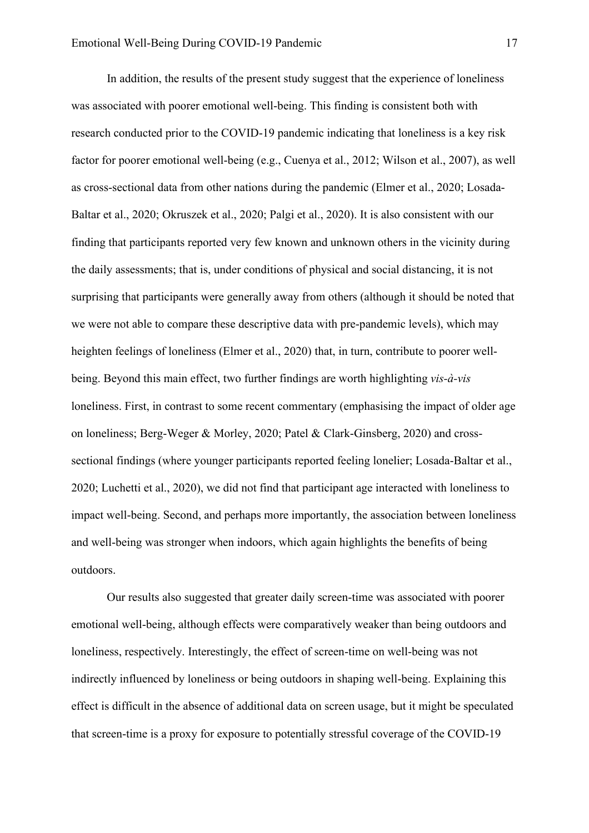In addition, the results of the present study suggest that the experience of loneliness was associated with poorer emotional well-being. This finding is consistent both with research conducted prior to the COVID-19 pandemic indicating that loneliness is a key risk factor for poorer emotional well-being (e.g., Cuenya et al., 2012; Wilson et al., 2007), as well as cross-sectional data from other nations during the pandemic (Elmer et al., 2020; Losada-Baltar et al., 2020; Okruszek et al., 2020; Palgi et al., 2020). It is also consistent with our finding that participants reported very few known and unknown others in the vicinity during the daily assessments; that is, under conditions of physical and social distancing, it is not surprising that participants were generally away from others (although it should be noted that we were not able to compare these descriptive data with pre-pandemic levels), which may heighten feelings of loneliness (Elmer et al., 2020) that, in turn, contribute to poorer wellbeing. Beyond this main effect, two further findings are worth highlighting *vis-à-vis* loneliness. First, in contrast to some recent commentary (emphasising the impact of older age on loneliness; Berg-Weger & Morley, 2020; Patel & Clark-Ginsberg, 2020) and crosssectional findings (where younger participants reported feeling lonelier; Losada-Baltar et al., 2020; Luchetti et al., 2020), we did not find that participant age interacted with loneliness to impact well-being. Second, and perhaps more importantly, the association between loneliness and well-being was stronger when indoors, which again highlights the benefits of being outdoors.

Our results also suggested that greater daily screen-time was associated with poorer emotional well-being, although effects were comparatively weaker than being outdoors and loneliness, respectively. Interestingly, the effect of screen-time on well-being was not indirectly influenced by loneliness or being outdoors in shaping well-being. Explaining this effect is difficult in the absence of additional data on screen usage, but it might be speculated that screen-time is a proxy for exposure to potentially stressful coverage of the COVID-19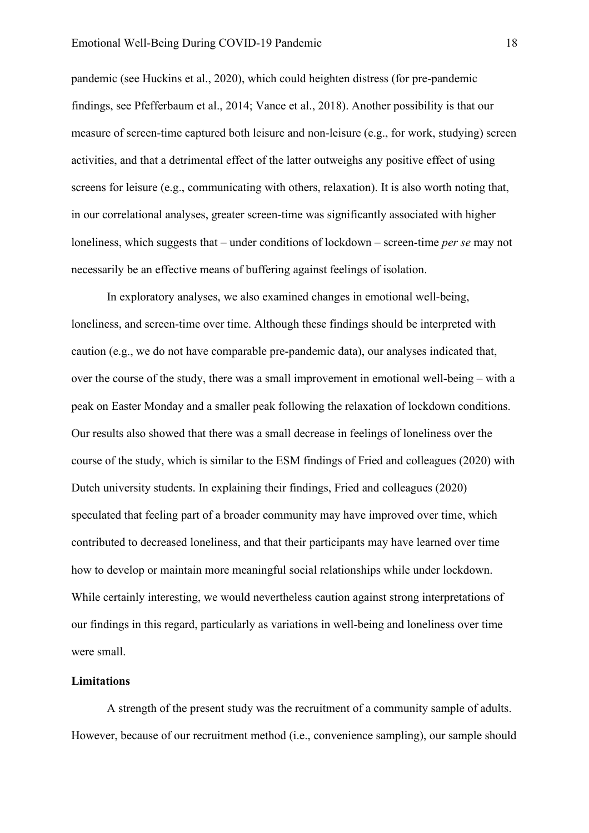pandemic (see Huckins et al., 2020), which could heighten distress (for pre-pandemic findings, see Pfefferbaum et al., 2014; Vance et al., 2018). Another possibility is that our measure of screen-time captured both leisure and non-leisure (e.g., for work, studying) screen activities, and that a detrimental effect of the latter outweighs any positive effect of using screens for leisure (e.g., communicating with others, relaxation). It is also worth noting that, in our correlational analyses, greater screen-time was significantly associated with higher loneliness, which suggests that – under conditions of lockdown – screen-time *per se* may not necessarily be an effective means of buffering against feelings of isolation.

In exploratory analyses, we also examined changes in emotional well-being, loneliness, and screen-time over time. Although these findings should be interpreted with caution (e.g., we do not have comparable pre-pandemic data), our analyses indicated that, over the course of the study, there was a small improvement in emotional well-being – with a peak on Easter Monday and a smaller peak following the relaxation of lockdown conditions. Our results also showed that there was a small decrease in feelings of loneliness over the course of the study, which is similar to the ESM findings of Fried and colleagues (2020) with Dutch university students. In explaining their findings, Fried and colleagues (2020) speculated that feeling part of a broader community may have improved over time, which contributed to decreased loneliness, and that their participants may have learned over time how to develop or maintain more meaningful social relationships while under lockdown. While certainly interesting, we would nevertheless caution against strong interpretations of our findings in this regard, particularly as variations in well-being and loneliness over time were small.

#### **Limitations**

A strength of the present study was the recruitment of a community sample of adults. However, because of our recruitment method (i.e., convenience sampling), our sample should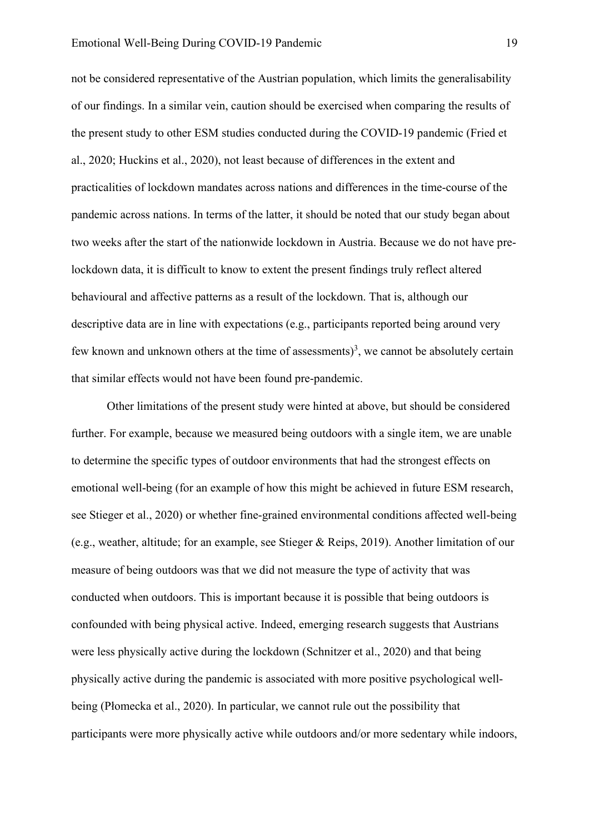not be considered representative of the Austrian population, which limits the generalisability of our findings. In a similar vein, caution should be exercised when comparing the results of the present study to other ESM studies conducted during the COVID-19 pandemic (Fried et al., 2020; Huckins et al., 2020), not least because of differences in the extent and practicalities of lockdown mandates across nations and differences in the time-course of the pandemic across nations. In terms of the latter, it should be noted that our study began about two weeks after the start of the nationwide lockdown in Austria. Because we do not have prelockdown data, it is difficult to know to extent the present findings truly reflect altered behavioural and affective patterns as a result of the lockdown. That is, although our descriptive data are in line with expectations (e.g., participants reported being around very few known and unknown others at the time of assessments)<sup>3</sup>, we cannot be absolutely certain that similar effects would not have been found pre-pandemic.

Other limitations of the present study were hinted at above, but should be considered further. For example, because we measured being outdoors with a single item, we are unable to determine the specific types of outdoor environments that had the strongest effects on emotional well-being (for an example of how this might be achieved in future ESM research, see Stieger et al., 2020) or whether fine-grained environmental conditions affected well-being (e.g., weather, altitude; for an example, see Stieger & Reips, 2019). Another limitation of our measure of being outdoors was that we did not measure the type of activity that was conducted when outdoors. This is important because it is possible that being outdoors is confounded with being physical active. Indeed, emerging research suggests that Austrians were less physically active during the lockdown (Schnitzer et al., 2020) and that being physically active during the pandemic is associated with more positive psychological wellbeing (Płomecka et al., 2020). In particular, we cannot rule out the possibility that participants were more physically active while outdoors and/or more sedentary while indoors,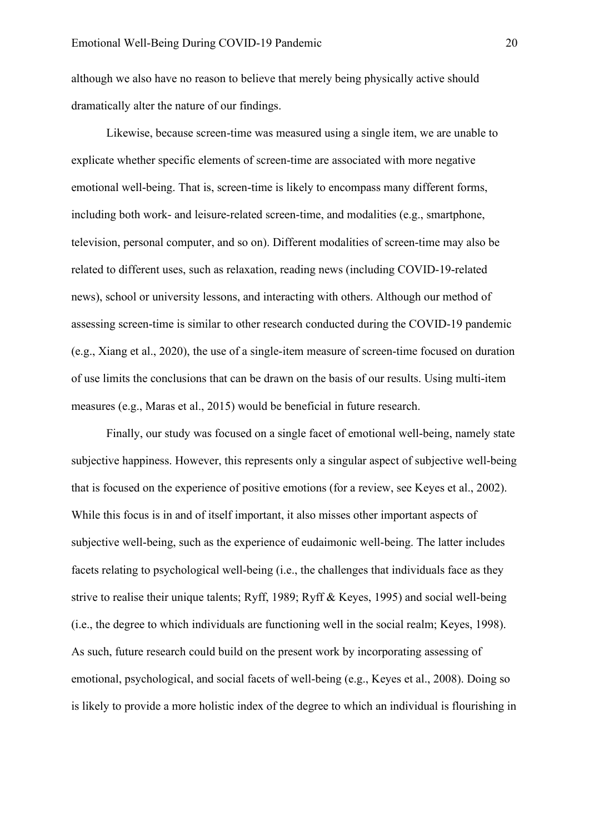although we also have no reason to believe that merely being physically active should dramatically alter the nature of our findings.

Likewise, because screen-time was measured using a single item, we are unable to explicate whether specific elements of screen-time are associated with more negative emotional well-being. That is, screen-time is likely to encompass many different forms, including both work- and leisure-related screen-time, and modalities (e.g., smartphone, television, personal computer, and so on). Different modalities of screen-time may also be related to different uses, such as relaxation, reading news (including COVID-19-related news), school or university lessons, and interacting with others. Although our method of assessing screen-time is similar to other research conducted during the COVID-19 pandemic (e.g., Xiang et al., 2020), the use of a single-item measure of screen-time focused on duration of use limits the conclusions that can be drawn on the basis of our results. Using multi-item measures (e.g., Maras et al., 2015) would be beneficial in future research.

Finally, our study was focused on a single facet of emotional well-being, namely state subjective happiness. However, this represents only a singular aspect of subjective well-being that is focused on the experience of positive emotions (for a review, see Keyes et al., 2002). While this focus is in and of itself important, it also misses other important aspects of subjective well-being, such as the experience of eudaimonic well-being. The latter includes facets relating to psychological well-being (i.e., the challenges that individuals face as they strive to realise their unique talents; Ryff, 1989; Ryff & Keyes, 1995) and social well-being (i.e., the degree to which individuals are functioning well in the social realm; Keyes, 1998). As such, future research could build on the present work by incorporating assessing of emotional, psychological, and social facets of well-being (e.g., Keyes et al., 2008). Doing so is likely to provide a more holistic index of the degree to which an individual is flourishing in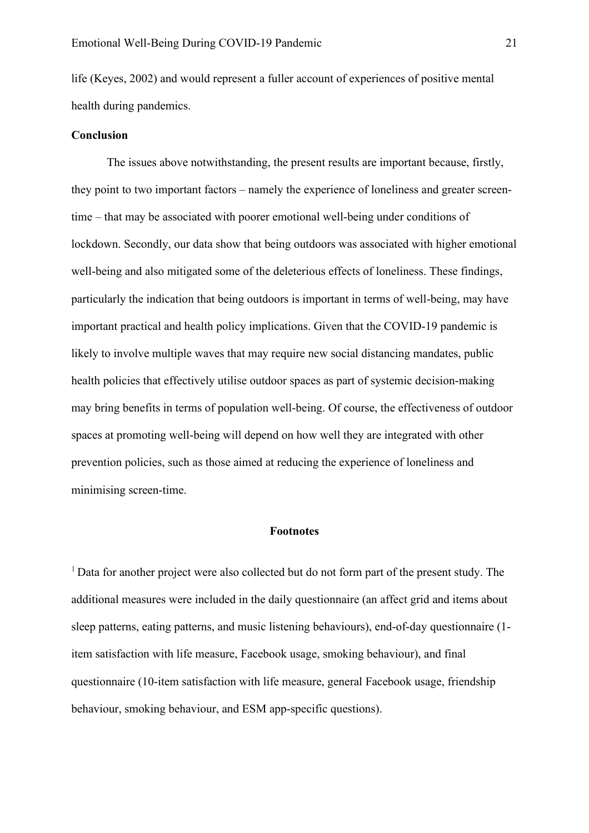life (Keyes, 2002) and would represent a fuller account of experiences of positive mental health during pandemics.

# **Conclusion**

The issues above notwithstanding, the present results are important because, firstly, they point to two important factors – namely the experience of loneliness and greater screentime – that may be associated with poorer emotional well-being under conditions of lockdown. Secondly, our data show that being outdoors was associated with higher emotional well-being and also mitigated some of the deleterious effects of loneliness. These findings, particularly the indication that being outdoors is important in terms of well-being, may have important practical and health policy implications. Given that the COVID-19 pandemic is likely to involve multiple waves that may require new social distancing mandates, public health policies that effectively utilise outdoor spaces as part of systemic decision-making may bring benefits in terms of population well-being. Of course, the effectiveness of outdoor spaces at promoting well-being will depend on how well they are integrated with other prevention policies, such as those aimed at reducing the experience of loneliness and minimising screen-time.

#### **Footnotes**

 $1$  Data for another project were also collected but do not form part of the present study. The additional measures were included in the daily questionnaire (an affect grid and items about sleep patterns, eating patterns, and music listening behaviours), end-of-day questionnaire (1 item satisfaction with life measure, Facebook usage, smoking behaviour), and final questionnaire (10-item satisfaction with life measure, general Facebook usage, friendship behaviour, smoking behaviour, and ESM app-specific questions).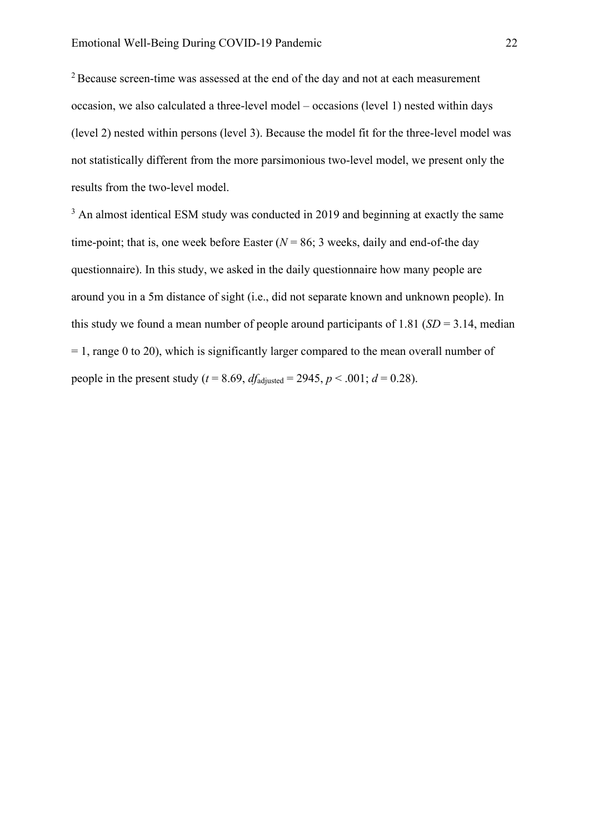<sup>2</sup> Because screen-time was assessed at the end of the day and not at each measurement occasion, we also calculated a three-level model – occasions (level 1) nested within days (level 2) nested within persons (level 3). Because the model fit for the three-level model was not statistically different from the more parsimonious two-level model, we present only the results from the two-level model.

<sup>3</sup> An almost identical ESM study was conducted in 2019 and beginning at exactly the same time-point; that is, one week before Easter  $(N = 86; 3$  weeks, daily and end-of-the day questionnaire). In this study, we asked in the daily questionnaire how many people are around you in a 5m distance of sight (i.e., did not separate known and unknown people). In this study we found a mean number of people around participants of 1.81 (*SD* = 3.14, median  $= 1$ , range 0 to 20), which is significantly larger compared to the mean overall number of people in the present study ( $t = 8.69$ ,  $df_{\text{adjusted}} = 2945$ ,  $p < .001$ ;  $d = 0.28$ ).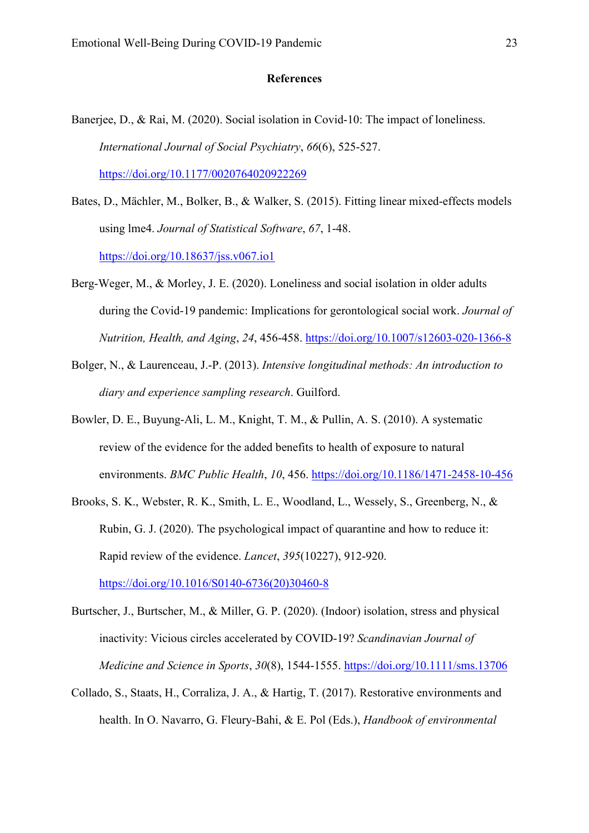#### **References**

- Banerjee, D., & Rai, M. (2020). Social isolation in Covid-10: The impact of loneliness. *International Journal of Social Psychiatry*, *66*(6), 525-527. <https://doi.org/10.1177/0020764020922269>
- Bates, D., Mächler, M., Bolker, B., & Walker, S. (2015). Fitting linear mixed-effects models using lme4. *Journal of Statistical Software*, *67*, 1-48. <https://doi.org/10.18637/jss.v067.io1>
- Berg-Weger, M., & Morley, J. E. (2020). Loneliness and social isolation in older adults during the Covid-19 pandemic: Implications for gerontological social work. *Journal of Nutrition, Health, and Aging*, *24*, 456-458.<https://doi.org/10.1007/s12603-020-1366-8>
- Bolger, N., & Laurenceau, J.-P. (2013). *Intensive longitudinal methods: An introduction to diary and experience sampling research*. Guilford.
- Bowler, D. E., Buyung-Ali, L. M., Knight, T. M., & Pullin, A. S. (2010). A systematic review of the evidence for the added benefits to health of exposure to natural environments. *BMC Public Health*, *10*, 456.<https://doi.org/10.1186/1471-2458-10-456>
- Brooks, S. K., Webster, R. K., Smith, L. E., Woodland, L., Wessely, S., Greenberg, N., & Rubin, G. J. (2020). The psychological impact of quarantine and how to reduce it: Rapid review of the evidence. *Lancet*, *395*(10227), 912-920. [https://doi.org/10.1016/S0140-6736\(20\)30460-8](https://doi.org/10.1016/S0140-6736(20)30460-8)
- Burtscher, J., Burtscher, M., & Miller, G. P. (2020). (Indoor) isolation, stress and physical inactivity: Vicious circles accelerated by COVID-19? *Scandinavian Journal of Medicine and Science in Sports*, *30*(8), 1544-1555.<https://doi.org/10.1111/sms.13706>
- Collado, S., Staats, H., Corraliza, J. A., & Hartig, T. (2017). Restorative environments and health. In O. Navarro, G. Fleury-Bahi, & E. Pol (Eds.), *Handbook of environmental*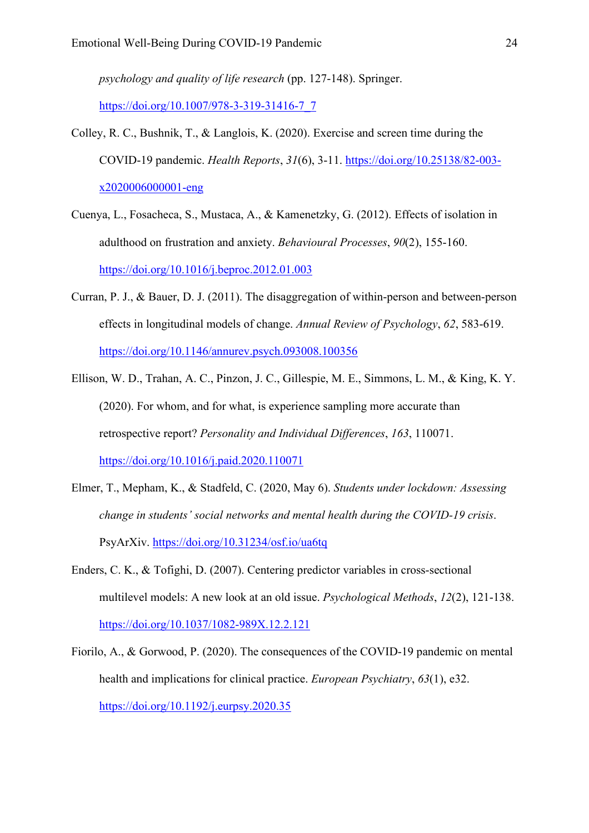*psychology and quality of life research* (pp. 127-148). Springer. [https://doi.org/10.1007/978-3-319-31416-7\\_7](https://doi.org/10.1007/978-3-319-31416-7_7)

- Colley, R. C., Bushnik, T., & Langlois, K. (2020). Exercise and screen time during the COVID-19 pandemic. *Health Reports*, *31*(6), 3-11. [https://doi.org/10.25138/82-003](https://doi.org/10.25138/82-003-x2020006000001-eng) [x2020006000001-eng](https://doi.org/10.25138/82-003-x2020006000001-eng)
- Cuenya, L., Fosacheca, S., Mustaca, A., & Kamenetzky, G. (2012). Effects of isolation in adulthood on frustration and anxiety. *Behavioural Processes*, *90*(2), 155-160. <https://doi.org/10.1016/j.beproc.2012.01.003>
- Curran, P. J., & Bauer, D. J. (2011). The disaggregation of within-person and between-person effects in longitudinal models of change. *Annual Review of Psychology*, *62*, 583-619. <https://doi.org/10.1146/annurev.psych.093008.100356>
- Ellison, W. D., Trahan, A. C., Pinzon, J. C., Gillespie, M. E., Simmons, L. M., & King, K. Y. (2020). For whom, and for what, is experience sampling more accurate than retrospective report? *Personality and Individual Differences*, *163*, 110071. <https://doi.org/10.1016/j.paid.2020.110071>
- Elmer, T., Mepham, K., & Stadfeld, C. (2020, May 6). *Students under lockdown: Assessing change in students' social networks and mental health during the COVID-19 crisis*. PsyArXiv.<https://doi.org/10.31234/osf.io/ua6tq>
- Enders, C. K., & Tofighi, D. (2007). Centering predictor variables in cross-sectional multilevel models: A new look at an old issue. *Psychological Methods*, *12*(2), 121-138. <https://doi.org/10.1037/1082-989X.12.2.121>
- Fiorilo, A., & Gorwood, P. (2020). The consequences of the COVID-19 pandemic on mental health and implications for clinical practice. *European Psychiatry*, *63*(1), e32. <https://doi.org/10.1192/j.eurpsy.2020.35>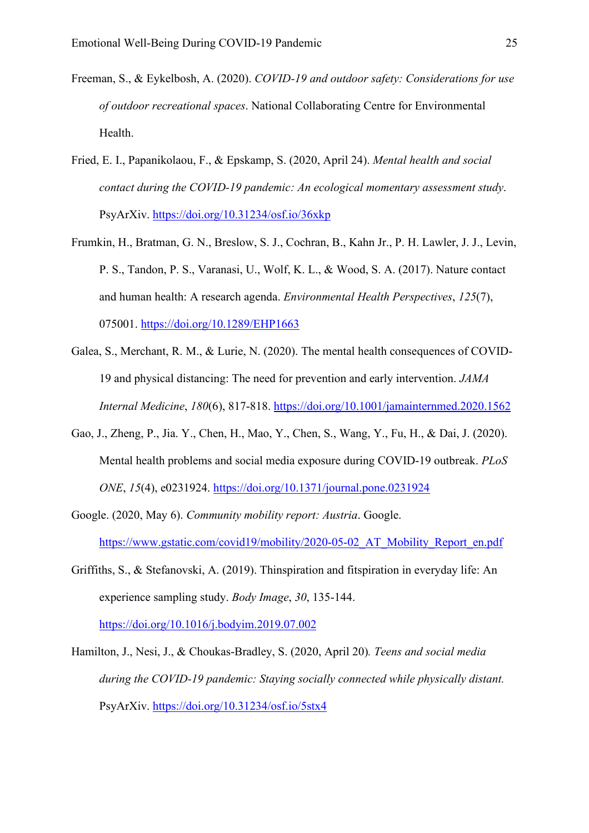- Freeman, S., & Eykelbosh, A. (2020). *COVID-19 and outdoor safety: Considerations for use of outdoor recreational spaces*. National Collaborating Centre for Environmental Health.
- Fried, E. I., Papanikolaou, F., & Epskamp, S. (2020, April 24). *Mental health and social contact during the COVID-19 pandemic: An ecological momentary assessment study*. PsyArXiv.<https://doi.org/10.31234/osf.io/36xkp>
- Frumkin, H., Bratman, G. N., Breslow, S. J., Cochran, B., Kahn Jr., P. H. Lawler, J. J., Levin, P. S., Tandon, P. S., Varanasi, U., Wolf, K. L., & Wood, S. A. (2017). Nature contact and human health: A research agenda. *Environmental Health Perspectives*, *125*(7), 075001.<https://doi.org/10.1289/EHP1663>
- Galea, S., Merchant, R. M., & Lurie, N. (2020). The mental health consequences of COVID-19 and physical distancing: The need for prevention and early intervention. *JAMA Internal Medicine*, *180*(6), 817-818. <https://doi.org/10.1001/jamainternmed.2020.1562>
- Gao, J., Zheng, P., Jia. Y., Chen, H., Mao, Y., Chen, S., Wang, Y., Fu, H., & Dai, J. (2020). Mental health problems and social media exposure during COVID-19 outbreak. *PLoS ONE*, *15*(4), e0231924.<https://doi.org/10.1371/journal.pone.0231924>
- Google. (2020, May 6). *Community mobility report: Austria*. Google. https://www.gstatic.com/covid19/mobility/2020-05-02 AT Mobility Report en.pdf
- Griffiths, S., & Stefanovski, A. (2019). Thinspiration and fitspiration in everyday life: An experience sampling study. *Body Image*, *30*, 135-144. <https://doi.org/10.1016/j.bodyim.2019.07.002>
- Hamilton, J., Nesi, J., & Choukas-Bradley, S. (2020, April 20)*. Teens and social media during the COVID-19 pandemic: Staying socially connected while physically distant.*  PsyArXiv.<https://doi.org/10.31234/osf.io/5stx4>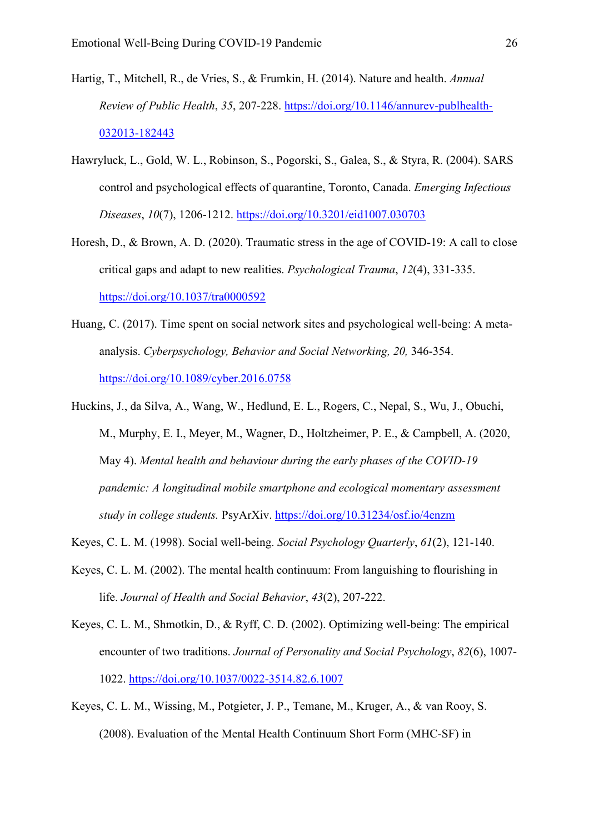- Hartig, T., Mitchell, R., de Vries, S., & Frumkin, H. (2014). Nature and health. *Annual Review of Public Health*, *35*, 207-228. [https://doi.org/10.1146/annurev-publhealth-](https://doi.org/10.1146/annurev-publhealth-032013-182443)[032013-182443](https://doi.org/10.1146/annurev-publhealth-032013-182443)
- Hawryluck, L., Gold, W. L., Robinson, S., Pogorski, S., Galea, S., & Styra, R. (2004). SARS control and psychological effects of quarantine, Toronto, Canada. *Emerging Infectious Diseases*, *10*(7), 1206-1212.<https://doi.org/10.3201/eid1007.030703>
- Horesh, D., & Brown, A. D. (2020). Traumatic stress in the age of COVID-19: A call to close critical gaps and adapt to new realities. *Psychological Trauma*, *12*(4), 331-335. <https://doi.org/10.1037/tra0000592>
- Huang, C. (2017). Time spent on social network sites and psychological well-being: A metaanalysis. *Cyberpsychology, Behavior and Social Networking, 20,* 346-354. <https://doi.org/10.1089/cyber.2016.0758>
- Huckins, J., da Silva, A., Wang, W., Hedlund, E. L., Rogers, C., Nepal, S., Wu, J., Obuchi, M., Murphy, E. I., Meyer, M., Wagner, D., Holtzheimer, P. E., & Campbell, A. (2020, May 4). *Mental health and behaviour during the early phases of the COVID-19 pandemic: A longitudinal mobile smartphone and ecological momentary assessment study in college students.* PsyArXiv.<https://doi.org/10.31234/osf.io/4enzm>
- Keyes, C. L. M. (1998). Social well-being. *Social Psychology Quarterly*, *61*(2), 121-140.
- Keyes, C. L. M. (2002). The mental health continuum: From languishing to flourishing in life. *Journal of Health and Social Behavior*, *43*(2), 207-222.
- Keyes, C. L. M., Shmotkin, D., & Ryff, C. D. (2002). Optimizing well-being: The empirical encounter of two traditions. *Journal of Personality and Social Psychology*, *82*(6), 1007- 1022.<https://doi.org/10.1037/0022-3514.82.6.1007>
- Keyes, C. L. M., Wissing, M., Potgieter, J. P., Temane, M., Kruger, A., & van Rooy, S. (2008). Evaluation of the Mental Health Continuum Short Form (MHC-SF) in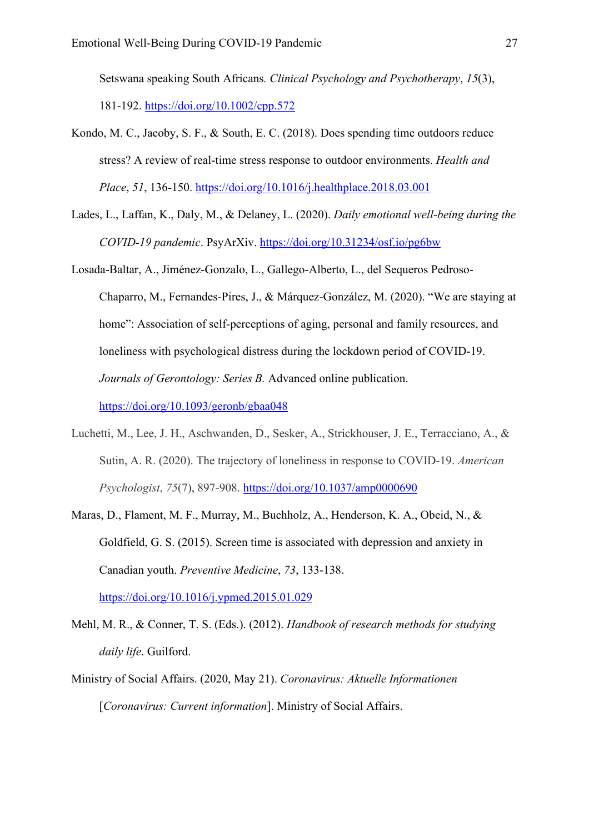Setswana speaking South Africans*. Clinical Psychology and Psychotherapy*, *15*(3), 181-192.<https://doi.org/10.1002/cpp.572>

- Kondo, M. C., Jacoby, S. F., & South, E. C. (2018). Does spending time outdoors reduce stress? A review of real-time stress response to outdoor environments. *Health and Place*, *51*, 136-150.<https://doi.org/10.1016/j.healthplace.2018.03.001>
- Lades, L., Laffan, K., Daly, M., & Delaney, L. (2020). *Daily emotional well-being during the COVID-19 pandemic*. PsyArXiv.<https://doi.org/10.31234/osf.io/pg6bw>
- Losada-Baltar, A., Jiménez-Gonzalo, L., Gallego-Alberto, L., del Sequeros Pedroso-Chaparro, M., Fernandes-Pires, J., & Márquez-González, M. (2020). "We are staying at home": Association of self-perceptions of aging, personal and family resources, and loneliness with psychological distress during the lockdown period of COVID-19. *Journals of Gerontology: Series B.* Advanced online publication. <https://doi.org/10.1093/geronb/gbaa048>
- Luchetti, M., Lee, J. H., Aschwanden, D., Sesker, A., Strickhouser, J. E., Terracciano, A., & Sutin, A. R. (2020). The trajectory of loneliness in response to COVID-19. *American Psychologist*, *75*(7), 897-908.<https://doi.org/10.1037/amp0000690>
- Maras, D., Flament, M. F., Murray, M., Buchholz, A., Henderson, K. A., Obeid, N., & Goldfield, G. S. (2015). Screen time is associated with depression and anxiety in Canadian youth. *Preventive Medicine*, *73*, 133-138. <https://doi.org/10.1016/j.ypmed.2015.01.029>
- Mehl, M. R., & Conner, T. S. (Eds.). (2012). *Handbook of research methods for studying daily life*. Guilford.
- Ministry of Social Affairs. (2020, May 21). *Coronavirus: Aktuelle Informationen* [*Coronavirus: Current information*]. Ministry of Social Affairs.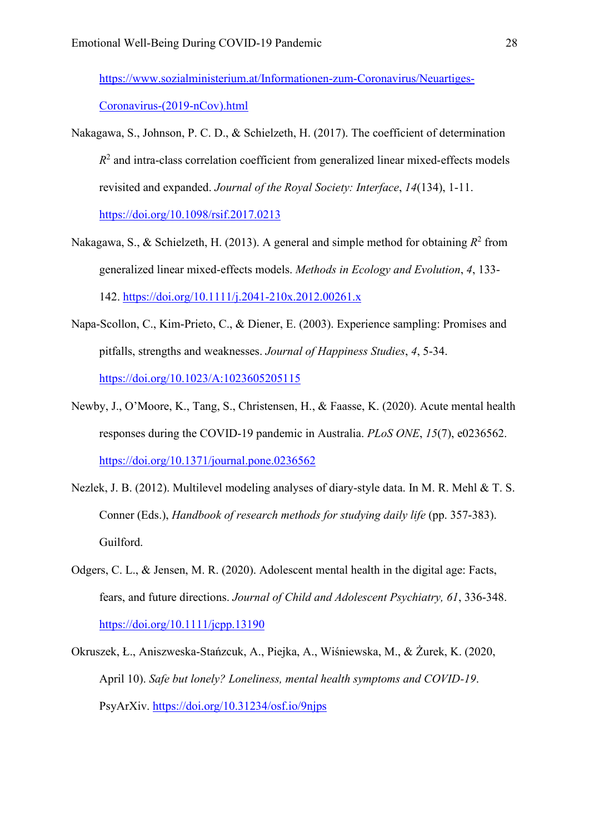[https://www.sozialministerium.at/Informationen-zum-Coronavirus/Neuartiges-](https://www.sozialministerium.at/Informationen-zum-Coronavirus/Neuartiges-Coronavirus-(2019-nCov).html)[Coronavirus-\(2019-nCov\).html](https://www.sozialministerium.at/Informationen-zum-Coronavirus/Neuartiges-Coronavirus-(2019-nCov).html)

- Nakagawa, S., Johnson, P. C. D., & Schielzeth, H. (2017). The coefficient of determination  $R<sup>2</sup>$  and intra-class correlation coefficient from generalized linear mixed-effects models revisited and expanded. *Journal of the Royal Society: Interface*, *14*(134), 1-11. <https://doi.org/10.1098/rsif.2017.0213>
- Nakagawa, S., & Schielzeth, H. (2013). A general and simple method for obtaining  $R^2$  from generalized linear mixed-effects models. *Methods in Ecology and Evolution*, *4*, 133- 142.<https://doi.org/10.1111/j.2041-210x.2012.00261.x>
- Napa-Scollon, C., Kim-Prieto, C., & Diener, E. (2003). Experience sampling: Promises and pitfalls, strengths and weaknesses. *Journal of Happiness Studies*, *4*, 5-34. <https://doi.org/10.1023/A:1023605205115>
- Newby, J., O'Moore, K., Tang, S., Christensen, H., & Faasse, K. (2020). Acute mental health responses during the COVID-19 pandemic in Australia. *PLoS ONE*, *15*(7), e0236562. <https://doi.org/10.1371/journal.pone.0236562>
- Nezlek, J. B. (2012). Multilevel modeling analyses of diary-style data. In M. R. Mehl & T. S. Conner (Eds.), *Handbook of research methods for studying daily life* (pp. 357-383). Guilford.
- Odgers, C. L., & Jensen, M. R. (2020). Adolescent mental health in the digital age: Facts, fears, and future directions. *Journal of Child and Adolescent Psychiatry, 61*, 336-348. <https://doi.org/10.1111/jcpp.13190>
- Okruszek, Ł., Aniszweska-Stańzcuk, A., Piejka, A., Wiśniewska, M., & Żurek, K. (2020, April 10). *Safe but lonely? Loneliness, mental health symptoms and COVID-19*. PsyArXiv.<https://doi.org/10.31234/osf.io/9njps>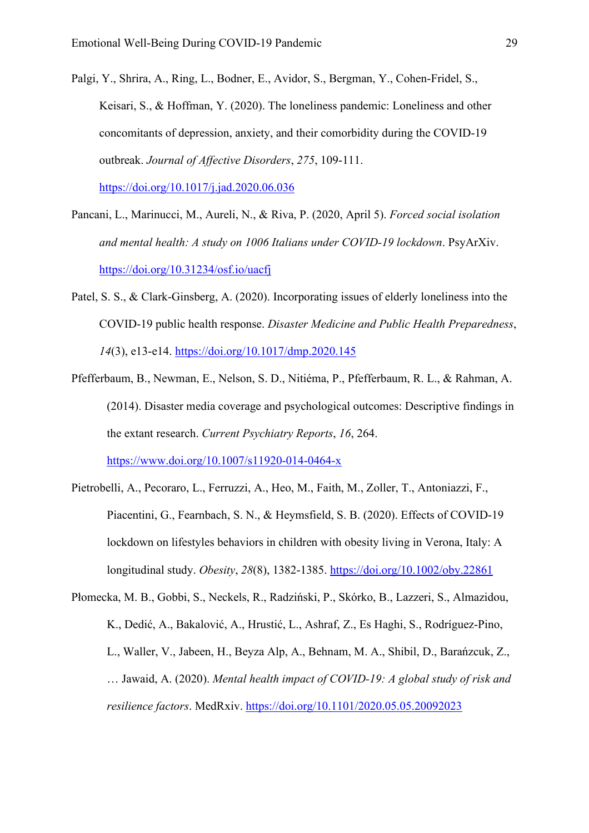Palgi, Y., Shrira, A., Ring, L., Bodner, E., Avidor, S., Bergman, Y., Cohen-Fridel, S., Keisari, S., & Hoffman, Y. (2020). The loneliness pandemic: Loneliness and other concomitants of depression, anxiety, and their comorbidity during the COVID-19 outbreak. *Journal of Affective Disorders*, *275*, 109-111.

https://doi.org/10.1017/j.jad.2020.06.036

- Pancani, L., Marinucci, M., Aureli, N., & Riva, P. (2020, April 5). *Forced social isolation and mental health: A study on 1006 Italians under COVID-19 lockdown*. PsyArXiv. [https://doi.org/10.31234/osf.io/uacfj](https://doi.org/10.31234/osf.io/uacfi)
- Patel, S. S., & Clark-Ginsberg, A. (2020). Incorporating issues of elderly loneliness into the COVID-19 public health response. *Disaster Medicine and Public Health Preparedness*, *14*(3), e13-e14.<https://doi.org/10.1017/dmp.2020.145>
- Pfefferbaum, B., Newman, E., Nelson, S. D., Nitiéma, P., Pfefferbaum, R. L., & Rahman, A. (2014). Disaster media coverage and psychological outcomes: Descriptive findings in the extant research. *Current Psychiatry Reports*, *16*, 264. <https://www.doi.org/10.1007/s11920-014-0464-x>
- Pietrobelli, A., Pecoraro, L., Ferruzzi, A., Heo, M., Faith, M., Zoller, T., Antoniazzi, F., Piacentini, G., Fearnbach, S. N., & Heymsfield, S. B. (2020). Effects of COVID-19 lockdown on lifestyles behaviors in children with obesity living in Verona, Italy: A longitudinal study. *Obesity*, *28*(8), 1382-1385.<https://doi.org/10.1002/oby.22861>
- Płomecka, M. B., Gobbi, S., Neckels, R., Radziński, P., Skórko, B., Lazzeri, S., Almazidou, K., Dedić, A., Bakalović, A., Hrustić, L., Ashraf, Z., Es Haghi, S., Rodríguez-Pino, L., Waller, V., Jabeen, H., Beyza Alp, A., Behnam, M. A., Shibil, D., Barańzcuk, Z., … Jawaid, A. (2020). *Mental health impact of COVID-19: A global study of risk and resilience factors*. MedRxiv.<https://doi.org/10.1101/2020.05.05.20092023>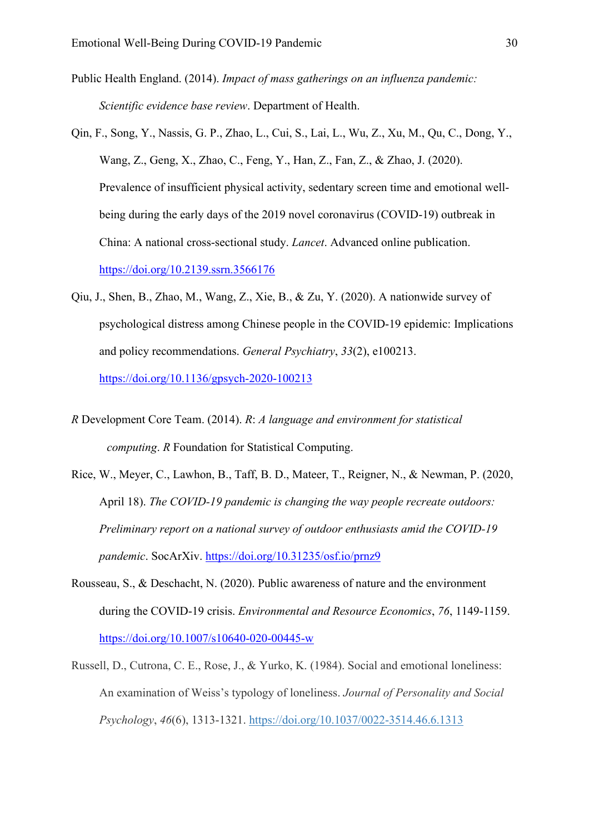- Public Health England. (2014). *Impact of mass gatherings on an influenza pandemic: Scientific evidence base review*. Department of Health.
- Qin, F., Song, Y., Nassis, G. P., Zhao, L., Cui, S., Lai, L., Wu, Z., Xu, M., Qu, C., Dong, Y., Wang, Z., Geng, X., Zhao, C., Feng, Y., Han, Z., Fan, Z., & Zhao, J. (2020). Prevalence of insufficient physical activity, sedentary screen time and emotional wellbeing during the early days of the 2019 novel coronavirus (COVID-19) outbreak in China: A national cross-sectional study. *Lancet*. Advanced online publication. <https://doi.org/10.2139.ssrn.3566176>
- Qiu, J., Shen, B., Zhao, M., Wang, Z., Xie, B., & Zu, Y. (2020). A nationwide survey of psychological distress among Chinese people in the COVID-19 epidemic: Implications and policy recommendations. *General Psychiatry*, *33*(2), e100213. <https://doi.org/10.1136/gpsych-2020-100213>
- *R* Development Core Team. (2014). *R*: *A language and environment for statistical computing*. *R* Foundation for Statistical Computing.
- Rice, W., Meyer, C., Lawhon, B., Taff, B. D., Mateer, T., Reigner, N., & Newman, P. (2020, April 18). *The COVID-19 pandemic is changing the way people recreate outdoors: Preliminary report on a national survey of outdoor enthusiasts amid the COVID-19 pandemic*. SocArXiv.<https://doi.org/10.31235/osf.io/prnz9>
- Rousseau, S., & Deschacht, N. (2020). Public awareness of nature and the environment during the COVID-19 crisis. *Environmental and Resource Economics*, *76*, 1149-1159. <https://doi.org/10.1007/s10640-020-00445-w>
- Russell, D., Cutrona, C. E., Rose, J., & Yurko, K. (1984). Social and emotional loneliness: An examination of Weiss's typology of loneliness. *Journal of Personality and Social Psychology*, *46*(6), 1313-1321. [https://doi.org/10.1037/0022-3514.46.6.1313](https://psycnet.apa.org/doi/10.1037/0022-3514.46.6.1313)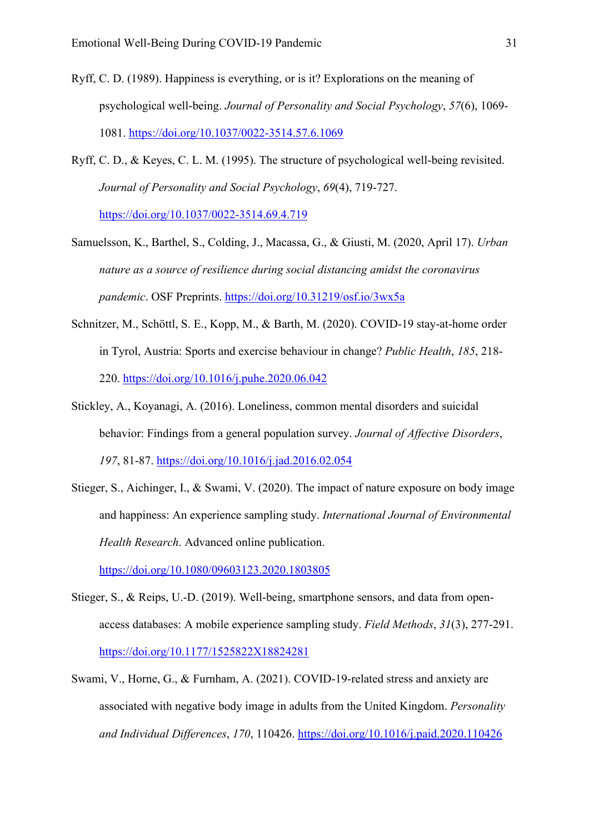- Ryff, C. D. (1989). Happiness is everything, or is it? Explorations on the meaning of psychological well-being. *Journal of Personality and Social Psychology*, *57*(6), 1069- 1081.<https://doi.org/10.1037/0022-3514.57.6.1069>
- Ryff, C. D., & Keyes, C. L. M. (1995). The structure of psychological well-being revisited. *Journal of Personality and Social Psychology*, *69*(4), 719-727. <https://doi.org/10.1037/0022-3514.69.4.719>
- Samuelsson, K., Barthel, S., Colding, J., Macassa, G., & Giusti, M. (2020, April 17). *Urban nature as a source of resilience during social distancing amidst the coronavirus pandemic*. OSF Preprints.<https://doi.org/10.31219/osf.io/3wx5a>
- Schnitzer, M., Schöttl, S. E., Kopp, M., & Barth, M. (2020). COVID-19 stay-at-home order in Tyrol, Austria: Sports and exercise behaviour in change? *Public Health*, *185*, 218- 220.<https://doi.org/10.1016/j.puhe.2020.06.042>
- Stickley, A., Koyanagi, A. (2016). Loneliness, common mental disorders and suicidal behavior: Findings from a general population survey. *Journal of Affective Disorders*, *197*, 81-87. <https://doi.org/10.1016/j.jad.2016.02.054>
- Stieger, S., Aichinger, I., & Swami, V. (2020). The impact of nature exposure on body image and happiness: An experience sampling study. *International Journal of Environmental Health Research*. Advanced online publication.

<https://doi.org/10.1080/09603123.2020.1803805>

- Stieger, S., & Reips, U.-D. (2019). Well-being, smartphone sensors, and data from openaccess databases: A mobile experience sampling study. *Field Methods*, *31*(3), 277-291. <https://doi.org/10.1177/1525822X18824281>
- Swami, V., Horne, G., & Furnham, A. (2021). COVID-19-related stress and anxiety are associated with negative body image in adults from the United Kingdom. *Personality and Individual Differences*, *170*, 110426.<https://doi.org/10.1016/j.paid.2020.110426>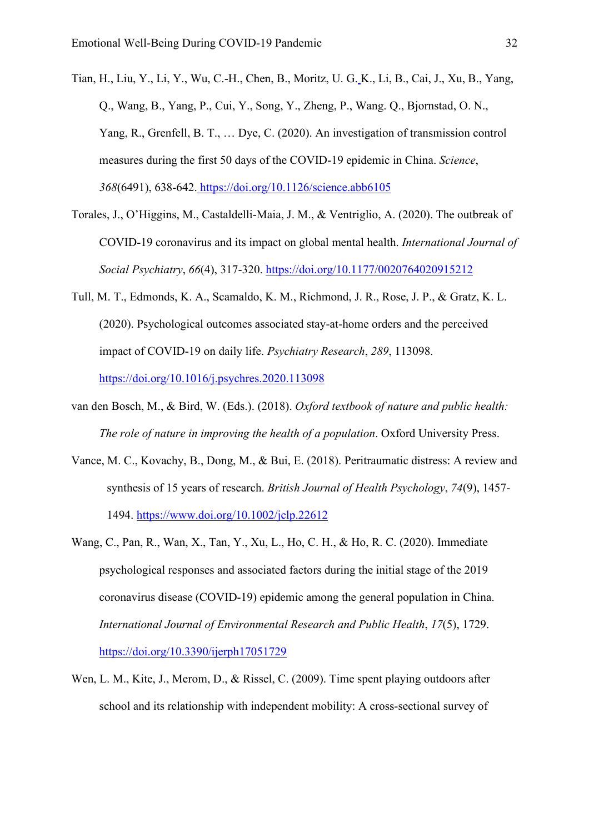Tian, H., Liu, Y., Li, Y., Wu, C.-H., Chen, B., Moritz, U. G. K., Li, B., Cai, J., Xu, B., Yang, Q., Wang, B., Yang, P., Cui, Y., Song, Y., Zheng, P., Wang. Q., Bjornstad, O. N., Yang, R., Grenfell, B. T., … Dye, C. (2020). An investigation of transmission control measures during the first 50 days of the COVID-19 epidemic in China. *Science*, *368*(6491), 638-642. <https://doi.org/10.1126/science.abb6105>

- Torales, J., O'Higgins, M., Castaldelli-Maia, J. M., & Ventriglio, A. (2020). The outbreak of COVID-19 coronavirus and its impact on global mental health. *International Journal of Social Psychiatry*, *66*(4), 317-320.<https://doi.org/10.1177/0020764020915212>
- Tull, M. T., Edmonds, K. A., Scamaldo, K. M., Richmond, J. R., Rose, J. P., & Gratz, K. L. (2020). Psychological outcomes associated stay-at-home orders and the perceived impact of COVID-19 on daily life. *Psychiatry Research*, *289*, 113098. <https://doi.org/10.1016/j.psychres.2020.113098>
- van den Bosch, M., & Bird, W. (Eds.). (2018). *Oxford textbook of nature and public health: The role of nature in improving the health of a population*. Oxford University Press.
- Vance, M. C., Kovachy, B., Dong, M., & Bui, E. (2018). Peritraumatic distress: A review and synthesis of 15 years of research. *British Journal of Health Psychology*, *74*(9), 1457- 1494.<https://www.doi.org/10.1002/jclp.22612>
- Wang, C., Pan, R., Wan, X., Tan, Y., Xu, L., Ho, C. H., & Ho, R. C. (2020). Immediate psychological responses and associated factors during the initial stage of the 2019 coronavirus disease (COVID-19) epidemic among the general population in China. *International Journal of Environmental Research and Public Health*, *17*(5), 1729. <https://doi.org/10.3390/ijerph17051729>
- Wen, L. M., Kite, J., Merom, D., & Rissel, C. (2009). Time spent playing outdoors after school and its relationship with independent mobility: A cross-sectional survey of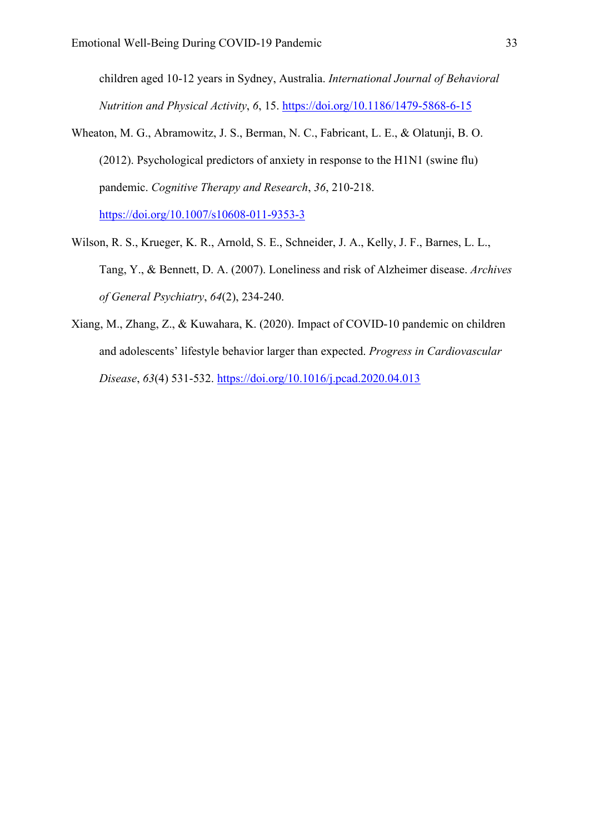children aged 10-12 years in Sydney, Australia. *International Journal of Behavioral Nutrition and Physical Activity*, *6*, 15.<https://doi.org/10.1186/1479-5868-6-15>

- Wheaton, M. G., Abramowitz, J. S., Berman, N. C., Fabricant, L. E., & Olatunji, B. O. (2012). Psychological predictors of anxiety in response to the H1N1 (swine flu) pandemic. *Cognitive Therapy and Research*, *36*, 210-218. <https://doi.org/10.1007/s10608-011-9353-3>
- Wilson, R. S., Krueger, K. R., Arnold, S. E., Schneider, J. A., Kelly, J. F., Barnes, L. L., Tang, Y., & Bennett, D. A. (2007). Loneliness and risk of Alzheimer disease. *Archives of General Psychiatry*, *64*(2), 234-240.
- Xiang, M., Zhang, Z., & Kuwahara, K. (2020). Impact of COVID-10 pandemic on children and adolescents' lifestyle behavior larger than expected. *Progress in Cardiovascular Disease*, *63*(4) 531-532.<https://doi.org/10.1016/j.pcad.2020.04.013>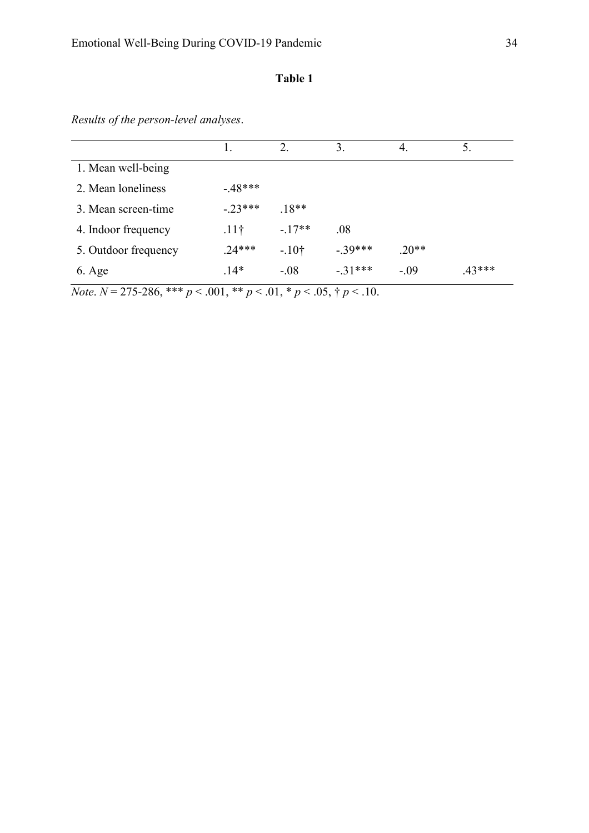# **Table 1**

*Results of the person-level analyses*.

|                      |                  | 2.      | 3.        | 4.      | 5.     |
|----------------------|------------------|---------|-----------|---------|--------|
| 1. Mean well-being   |                  |         |           |         |        |
| 2. Mean loneliness   | $-48***$         |         |           |         |        |
| 3. Mean screen-time  | $-.23***$        | $.18**$ |           |         |        |
| 4. Indoor frequency  | .11 <sup>†</sup> | $-17**$ | .08       |         |        |
| 5. Outdoor frequency | $.24***$         | $-.10†$ | $-.39***$ | $.20**$ |        |
| $6. \text{Age}$      | $.14*$           | $-.08$  | $-.31***$ | $-.09$  | .43*** |

*Note*.  $N = 275-286$ , \*\*\*  $p < .001$ , \*\*  $p < .01$ , \*  $p < .05$ , †  $p < .10$ .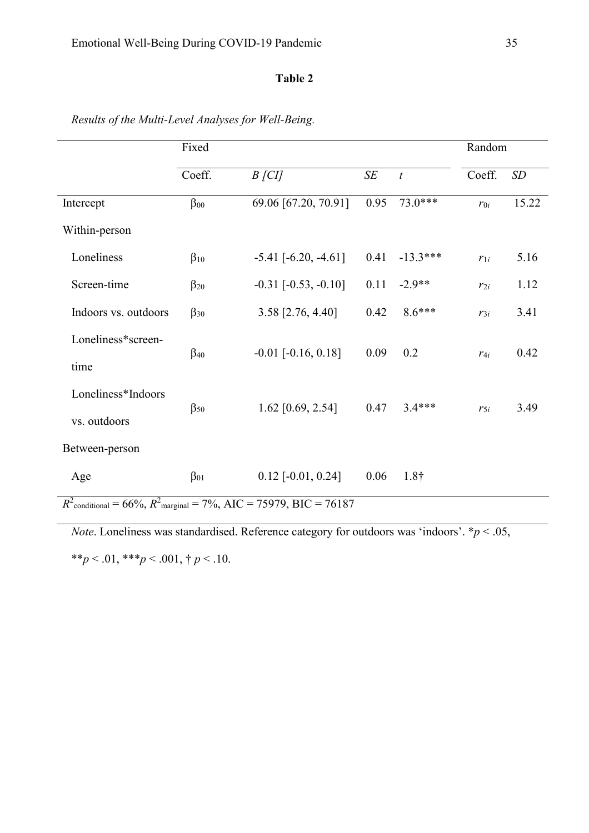# **Table 2**

|                      | Fixed        |                                                                        |           |                  |          | Random |  |
|----------------------|--------------|------------------------------------------------------------------------|-----------|------------------|----------|--------|--|
|                      | Coeff.       | $B$ [CI]                                                               | $\cal SE$ | $\boldsymbol{t}$ | Coeff.   | SD     |  |
| Intercept            | $\beta_{00}$ | 69.06 [67.20, 70.91]                                                   | 0.95      | 73.0***          | $r_{0i}$ | 15.22  |  |
| Within-person        |              |                                                                        |           |                  |          |        |  |
| Loneliness           | $\beta_{10}$ | $-5.41$ [ $-6.20, -4.61$ ]                                             | 0.41      | $-13.3***$       | $r_{1i}$ | 5.16   |  |
| Screen-time          | $\beta_{20}$ | $-0.31$ $[-0.53, -0.10]$                                               | 0.11      | $-2.9**$         | $r_{2i}$ | 1.12   |  |
| Indoors vs. outdoors | $\beta_{30}$ | 3.58 [2.76, 4.40]                                                      | 0.42      | $8.6***$         | $r_{3i}$ | 3.41   |  |
| Loneliness*screen-   |              | $-0.01$ [ $-0.16$ , $0.18$ ]                                           | 0.09      | 0.2              |          | 0.42   |  |
| time                 | $\beta_{40}$ |                                                                        |           |                  | $r_{4i}$ |        |  |
| Loneliness*Indoors   |              |                                                                        | 0.47      | $3.4***$         |          |        |  |
| vs. outdoors         | $\beta_{50}$ | 1.62 [0.69, 2.54]                                                      |           |                  | $r_{5i}$ | 3.49   |  |
| Between-person       |              |                                                                        |           |                  |          |        |  |
| Age                  | $\beta_{01}$ | $0.12$ [-0.01, 0.24]                                                   | 0.06      | $1.8\dagger$     |          |        |  |
|                      |              | $R^2$ conditional = 66%, $R^2$ marginal = 7%, AIC = 75979, BIC = 76187 |           |                  |          |        |  |

*Results of the Multi-Level Analyses for Well-Being.*

*Note*. Loneliness was standardised. Reference category for outdoors was 'indoors'.  $* p < .05$ ,

\*\**p* < .01, \*\*\**p* < .001, † *p* < .10.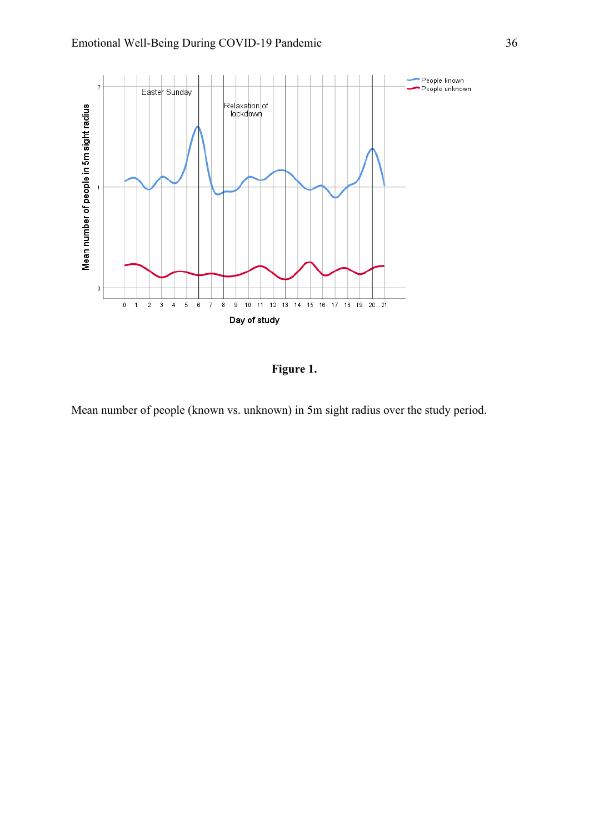

**Figure 1.** 

Mean number of people (known vs. unknown) in 5m sight radius over the study period.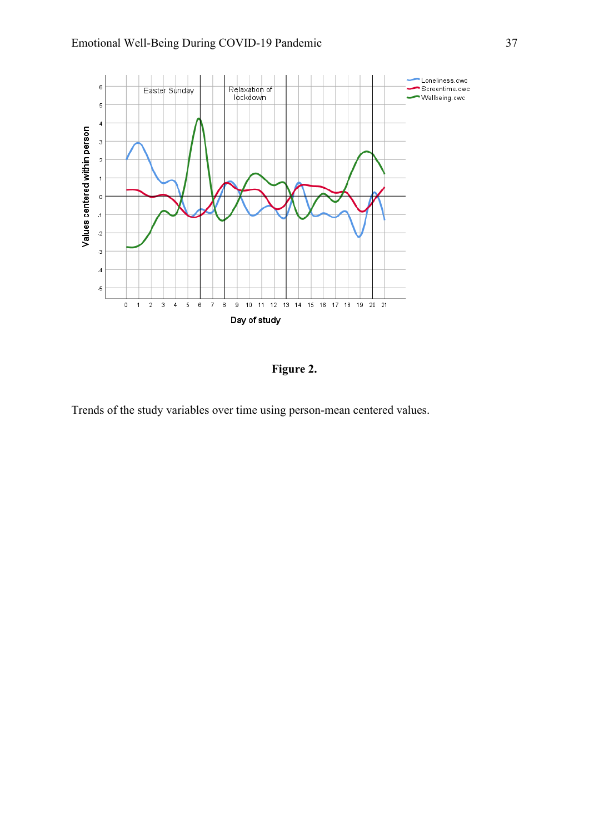

**Figure 2.** 

Trends of the study variables over time using person-mean centered values.